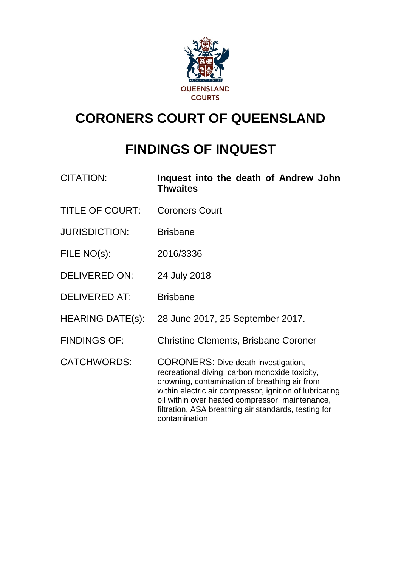

# **CORONERS COURT OF QUEENSLAND**

# **FINDINGS OF INQUEST**

| <b>CITATION:</b>        | Inquest into the death of Andrew John<br><b>Thwaites</b>                                                                                                                                                                                                                                                                             |
|-------------------------|--------------------------------------------------------------------------------------------------------------------------------------------------------------------------------------------------------------------------------------------------------------------------------------------------------------------------------------|
| <b>TITLE OF COURT:</b>  | <b>Coroners Court</b>                                                                                                                                                                                                                                                                                                                |
| <b>JURISDICTION:</b>    | <b>Brisbane</b>                                                                                                                                                                                                                                                                                                                      |
| FILE NO(s):             | 2016/3336                                                                                                                                                                                                                                                                                                                            |
| <b>DELIVERED ON:</b>    | 24 July 2018                                                                                                                                                                                                                                                                                                                         |
| <b>DELIVERED AT:</b>    | <b>Brisbane</b>                                                                                                                                                                                                                                                                                                                      |
| <b>HEARING DATE(s):</b> | 28 June 2017, 25 September 2017.                                                                                                                                                                                                                                                                                                     |
| <b>FINDINGS OF:</b>     | <b>Christine Clements, Brisbane Coroner</b>                                                                                                                                                                                                                                                                                          |
| <b>CATCHWORDS:</b>      | <b>CORONERS:</b> Dive death investigation,<br>recreational diving, carbon monoxide toxicity,<br>drowning, contamination of breathing air from<br>within electric air compressor, ignition of lubricating<br>oil within over heated compressor, maintenance,<br>filtration, ASA breathing air standards, testing for<br>contamination |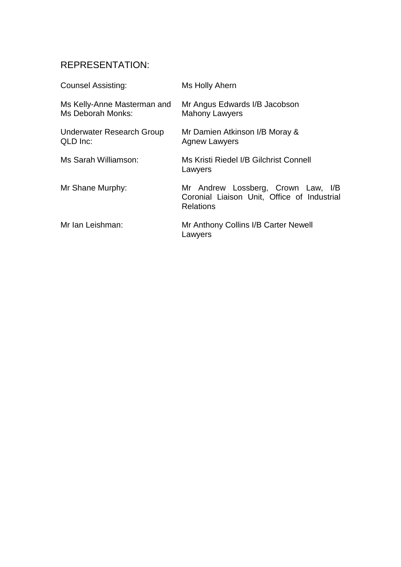# REPRESENTATION:

| <b>Counsel Assisting:</b>                        | Ms Holly Ahern                                                                                        |
|--------------------------------------------------|-------------------------------------------------------------------------------------------------------|
| Ms Kelly-Anne Masterman and<br>Ms Deborah Monks: | Mr Angus Edwards I/B Jacobson<br><b>Mahony Lawyers</b>                                                |
| Underwater Research Group<br>QLD Inc:            | Mr Damien Atkinson I/B Moray &<br><b>Agnew Lawyers</b>                                                |
| Ms Sarah Williamson:                             | Ms Kristi Riedel I/B Gilchrist Connell<br>Lawyers                                                     |
| Mr Shane Murphy:                                 | Mr Andrew Lossberg, Crown Law, I/B<br>Coronial Liaison Unit, Office of Industrial<br><b>Relations</b> |
| Mr Ian Leishman:                                 | Mr Anthony Collins I/B Carter Newell<br>Lawyers                                                       |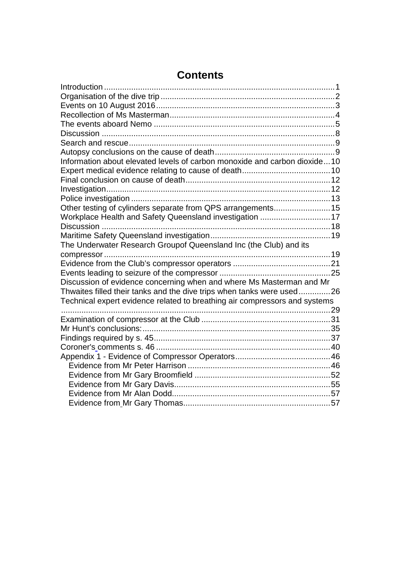| Introduction                                                               |  |
|----------------------------------------------------------------------------|--|
|                                                                            |  |
|                                                                            |  |
|                                                                            |  |
|                                                                            |  |
|                                                                            |  |
|                                                                            |  |
|                                                                            |  |
| Information about elevated levels of carbon monoxide and carbon dioxide10  |  |
|                                                                            |  |
|                                                                            |  |
|                                                                            |  |
|                                                                            |  |
| Other testing of cylinders separate from QPS arrangements 15               |  |
| Workplace Health and Safety Queensland investigation 17                    |  |
| Discussion                                                                 |  |
|                                                                            |  |
| The Underwater Research Groupof Queensland Inc (the Club) and its          |  |
|                                                                            |  |
|                                                                            |  |
|                                                                            |  |
| Discussion of evidence concerning when and where Ms Masterman and Mr       |  |
| Thwaites filled their tanks and the dive trips when tanks were used26      |  |
| Technical expert evidence related to breathing air compressors and systems |  |
|                                                                            |  |
|                                                                            |  |
|                                                                            |  |
|                                                                            |  |
|                                                                            |  |
|                                                                            |  |
|                                                                            |  |
|                                                                            |  |
|                                                                            |  |
|                                                                            |  |
|                                                                            |  |

# **Contents**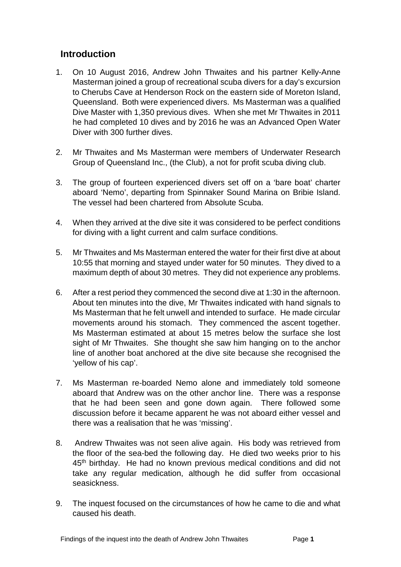## <span id="page-3-0"></span>**Introduction**

- 1. On 10 August 2016, Andrew John Thwaites and his partner Kelly-Anne Masterman joined a group of recreational scuba divers for a day's excursion to Cherubs Cave at Henderson Rock on the eastern side of Moreton Island, Queensland. Both were experienced divers. Ms Masterman was a qualified Dive Master with 1,350 previous dives. When she met Mr Thwaites in 2011 he had completed 10 dives and by 2016 he was an Advanced Open Water Diver with 300 further dives.
- 2. Mr Thwaites and Ms Masterman were members of Underwater Research Group of Queensland Inc., (the Club), a not for profit scuba diving club.
- 3. The group of fourteen experienced divers set off on a 'bare boat' charter aboard 'Nemo', departing from Spinnaker Sound Marina on Bribie Island. The vessel had been chartered from Absolute Scuba.
- 4. When they arrived at the dive site it was considered to be perfect conditions for diving with a light current and calm surface conditions.
- 5. Mr Thwaites and Ms Masterman entered the water for their first dive at about 10:55 that morning and stayed under water for 50 minutes. They dived to a maximum depth of about 30 metres. They did not experience any problems.
- 6. After a rest period they commenced the second dive at 1:30 in the afternoon. About ten minutes into the dive, Mr Thwaites indicated with hand signals to Ms Masterman that he felt unwell and intended to surface. He made circular movements around his stomach. They commenced the ascent together. Ms Masterman estimated at about 15 metres below the surface she lost sight of Mr Thwaites. She thought she saw him hanging on to the anchor line of another boat anchored at the dive site because she recognised the 'yellow of his cap'.
- 7. Ms Masterman re-boarded Nemo alone and immediately told someone aboard that Andrew was on the other anchor line. There was a response that he had been seen and gone down again. There followed some discussion before it became apparent he was not aboard either vessel and there was a realisation that he was 'missing'.
- 8. Andrew Thwaites was not seen alive again. His body was retrieved from the floor of the sea-bed the following day. He died two weeks prior to his 45th birthday. He had no known previous medical conditions and did not take any regular medication, although he did suffer from occasional seasickness.
- 9. The inquest focused on the circumstances of how he came to die and what caused his death.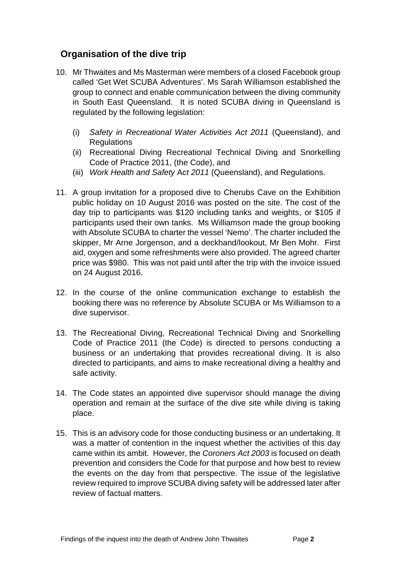# <span id="page-4-0"></span>**Organisation of the dive trip**

- 10. Mr Thwaites and Ms Masterman were members of a closed Facebook group called 'Get Wet SCUBA Adventures'. Ms Sarah Williamson established the group to connect and enable communication between the diving community in South East Queensland. It is noted SCUBA diving in Queensland is regulated by the following legislation:
	- (i) *Safety in Recreational Water Activities Act 2011* (Queensland), and Regulations
	- (ii) Recreational Diving Recreational Technical Diving and Snorkelling Code of Practice 2011, (the Code), and
	- (iii) *Work Health and Safety* A*ct 2011* (Queensland), and Regulations.
- 11. A group invitation for a proposed dive to Cherubs Cave on the Exhibition public holiday on 10 August 2016 was posted on the site. The cost of the day trip to participants was \$120 including tanks and weights, or \$105 if participants used their own tanks. Ms Williamson made the group booking with Absolute SCUBA to charter the vessel 'Nemo'. The charter included the skipper, Mr Arne Jorgenson, and a deckhand/lookout, Mr Ben Mohr. First aid, oxygen and some refreshments were also provided. The agreed charter price was \$980. This was not paid until after the trip with the invoice issued on 24 August 2016.
- 12. In the course of the online communication exchange to establish the booking there was no reference by Absolute SCUBA or Ms Williamson to a dive supervisor.
- 13. The Recreational Diving, Recreational Technical Diving and Snorkelling Code of Practice 2011 (the Code) is directed to persons conducting a business or an undertaking that provides recreational diving. It is also directed to participants, and aims to make recreational diving a healthy and safe activity.
- 14. The Code states an appointed dive supervisor should manage the diving operation and remain at the surface of the dive site while diving is taking place.
- 15. This is an advisory code for those conducting business or an undertaking. It was a matter of contention in the inquest whether the activities of this day came within its ambit. However, the *Coroners Act 2003* is focused on death prevention and considers the Code for that purpose and how best to review the events on the day from that perspective. The issue of the legislative review required to improve SCUBA diving safety will be addressed later after review of factual matters.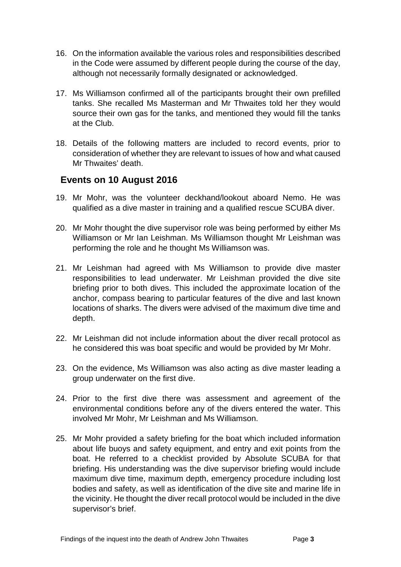- 16. On the information available the various roles and responsibilities described in the Code were assumed by different people during the course of the day, although not necessarily formally designated or acknowledged.
- 17. Ms Williamson confirmed all of the participants brought their own prefilled tanks. She recalled Ms Masterman and Mr Thwaites told her they would source their own gas for the tanks, and mentioned they would fill the tanks at the Club.
- 18. Details of the following matters are included to record events, prior to consideration of whether they are relevant to issues of how and what caused Mr Thwaites' death.

## <span id="page-5-0"></span>**Events on 10 August 2016**

- 19. Mr Mohr, was the volunteer deckhand/lookout aboard Nemo. He was qualified as a dive master in training and a qualified rescue SCUBA diver.
- 20. Mr Mohr thought the dive supervisor role was being performed by either Ms Williamson or Mr Ian Leishman. Ms Williamson thought Mr Leishman was performing the role and he thought Ms Williamson was.
- 21. Mr Leishman had agreed with Ms Williamson to provide dive master responsibilities to lead underwater. Mr Leishman provided the dive site briefing prior to both dives. This included the approximate location of the anchor, compass bearing to particular features of the dive and last known locations of sharks. The divers were advised of the maximum dive time and depth.
- 22. Mr Leishman did not include information about the diver recall protocol as he considered this was boat specific and would be provided by Mr Mohr.
- 23. On the evidence, Ms Williamson was also acting as dive master leading a group underwater on the first dive.
- 24. Prior to the first dive there was assessment and agreement of the environmental conditions before any of the divers entered the water. This involved Mr Mohr, Mr Leishman and Ms Williamson.
- 25. Mr Mohr provided a safety briefing for the boat which included information about life buoys and safety equipment, and entry and exit points from the boat. He referred to a checklist provided by Absolute SCUBA for that briefing. His understanding was the dive supervisor briefing would include maximum dive time, maximum depth, emergency procedure including lost bodies and safety, as well as identification of the dive site and marine life in the vicinity. He thought the diver recall protocol would be included in the dive supervisor's brief.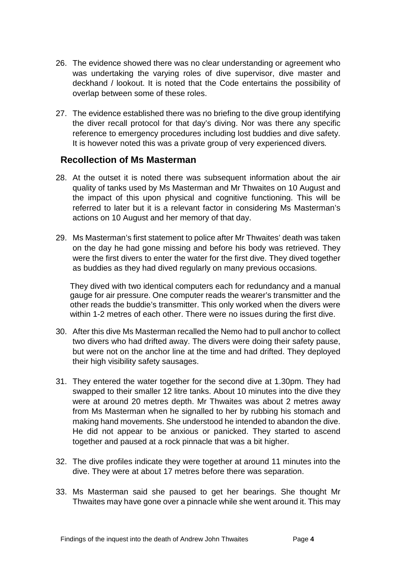- 26. The evidence showed there was no clear understanding or agreement who was undertaking the varying roles of dive supervisor, dive master and deckhand / lookout. It is noted that the Code entertains the possibility of overlap between some of these roles.
- 27. The evidence established there was no briefing to the dive group identifying the diver recall protocol for that day's diving. Nor was there any specific reference to emergency procedures including lost buddies and dive safety. It is however noted this was a private group of very experienced divers*.*

#### <span id="page-6-0"></span>**Recollection of Ms Masterman**

- 28. At the outset it is noted there was subsequent information about the air quality of tanks used by Ms Masterman and Mr Thwaites on 10 August and the impact of this upon physical and cognitive functioning. This will be referred to later but it is a relevant factor in considering Ms Masterman's actions on 10 August and her memory of that day.
- 29. Ms Masterman's first statement to police after Mr Thwaites' death was taken on the day he had gone missing and before his body was retrieved. They were the first divers to enter the water for the first dive. They dived together as buddies as they had dived regularly on many previous occasions.

They dived with two identical computers each for redundancy and a manual gauge for air pressure. One computer reads the wearer's transmitter and the other reads the buddie's transmitter. This only worked when the divers were within 1-2 metres of each other. There were no issues during the first dive.

- 30. After this dive Ms Masterman recalled the Nemo had to pull anchor to collect two divers who had drifted away. The divers were doing their safety pause, but were not on the anchor line at the time and had drifted. They deployed their high visibility safety sausages.
- 31. They entered the water together for the second dive at 1.30pm. They had swapped to their smaller 12 litre tanks. About 10 minutes into the dive they were at around 20 metres depth. Mr Thwaites was about 2 metres away from Ms Masterman when he signalled to her by rubbing his stomach and making hand movements. She understood he intended to abandon the dive. He did not appear to be anxious or panicked. They started to ascend together and paused at a rock pinnacle that was a bit higher.
- 32. The dive profiles indicate they were together at around 11 minutes into the dive. They were at about 17 metres before there was separation.
- 33. Ms Masterman said she paused to get her bearings. She thought Mr Thwaites may have gone over a pinnacle while she went around it. This may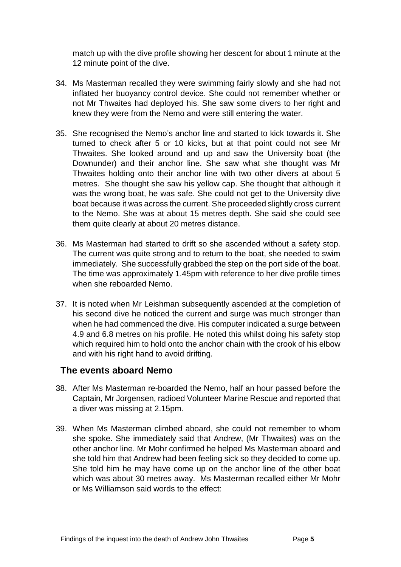match up with the dive profile showing her descent for about 1 minute at the 12 minute point of the dive.

- 34. Ms Masterman recalled they were swimming fairly slowly and she had not inflated her buoyancy control device. She could not remember whether or not Mr Thwaites had deployed his. She saw some divers to her right and knew they were from the Nemo and were still entering the water.
- 35. She recognised the Nemo's anchor line and started to kick towards it. She turned to check after 5 or 10 kicks, but at that point could not see Mr Thwaites. She looked around and up and saw the University boat (the Downunder) and their anchor line. She saw what she thought was Mr Thwaites holding onto their anchor line with two other divers at about 5 metres. She thought she saw his yellow cap. She thought that although it was the wrong boat, he was safe. She could not get to the University dive boat because it was across the current. She proceeded slightly cross current to the Nemo. She was at about 15 metres depth. She said she could see them quite clearly at about 20 metres distance.
- 36. Ms Masterman had started to drift so she ascended without a safety stop. The current was quite strong and to return to the boat, she needed to swim immediately. She successfully grabbed the step on the port side of the boat. The time was approximately 1.45pm with reference to her dive profile times when she reboarded Nemo.
- 37. It is noted when Mr Leishman subsequently ascended at the completion of his second dive he noticed the current and surge was much stronger than when he had commenced the dive. His computer indicated a surge between 4.9 and 6.8 metres on his profile. He noted this whilst doing his safety stop which required him to hold onto the anchor chain with the crook of his elbow and with his right hand to avoid drifting.

#### <span id="page-7-0"></span>**The events aboard Nemo**

- 38. After Ms Masterman re-boarded the Nemo, half an hour passed before the Captain, Mr Jorgensen, radioed Volunteer Marine Rescue and reported that a diver was missing at 2.15pm.
- 39. When Ms Masterman climbed aboard, she could not remember to whom she spoke. She immediately said that Andrew, (Mr Thwaites) was on the other anchor line. Mr Mohr confirmed he helped Ms Masterman aboard and she told him that Andrew had been feeling sick so they decided to come up. She told him he may have come up on the anchor line of the other boat which was about 30 metres away. Ms Masterman recalled either Mr Mohr or Ms Williamson said words to the effect: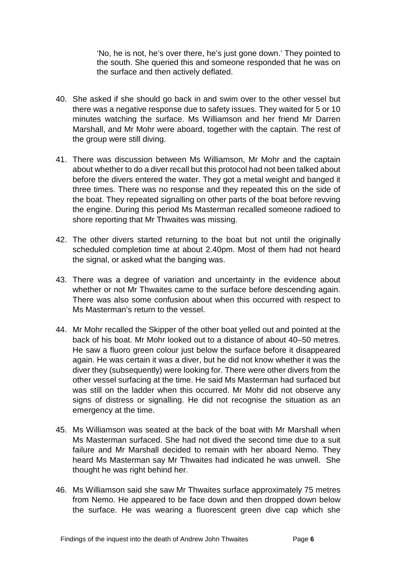'No, he is not, he's over there, he's just gone down.' They pointed to the south. She queried this and someone responded that he was on the surface and then actively deflated.

- 40. She asked if she should go back in and swim over to the other vessel but there was a negative response due to safety issues. They waited for 5 or 10 minutes watching the surface. Ms Williamson and her friend Mr Darren Marshall, and Mr Mohr were aboard, together with the captain. The rest of the group were still diving.
- 41. There was discussion between Ms Williamson, Mr Mohr and the captain about whether to do a diver recall but this protocol had not been talked about before the divers entered the water. They got a metal weight and banged it three times. There was no response and they repeated this on the side of the boat. They repeated signalling on other parts of the boat before revving the engine. During this period Ms Masterman recalled someone radioed to shore reporting that Mr Thwaites was missing.
- 42. The other divers started returning to the boat but not until the originally scheduled completion time at about 2.40pm. Most of them had not heard the signal, or asked what the banging was.
- 43. There was a degree of variation and uncertainty in the evidence about whether or not Mr Thwaites came to the surface before descending again. There was also some confusion about when this occurred with respect to Ms Masterman's return to the vessel.
- 44. Mr Mohr recalled the Skipper of the other boat yelled out and pointed at the back of his boat. Mr Mohr looked out to a distance of about 40–50 metres. He saw a fluoro green colour just below the surface before it disappeared again. He was certain it was a diver, but he did not know whether it was the diver they (subsequently) were looking for. There were other divers from the other vessel surfacing at the time. He said Ms Masterman had surfaced but was still on the ladder when this occurred. Mr Mohr did not observe any signs of distress or signalling. He did not recognise the situation as an emergency at the time.
- 45. Ms Williamson was seated at the back of the boat with Mr Marshall when Ms Masterman surfaced. She had not dived the second time due to a suit failure and Mr Marshall decided to remain with her aboard Nemo. They heard Ms Masterman say Mr Thwaites had indicated he was unwell. She thought he was right behind her.
- 46. Ms Williamson said she saw Mr Thwaites surface approximately 75 metres from Nemo. He appeared to be face down and then dropped down below the surface. He was wearing a fluorescent green dive cap which she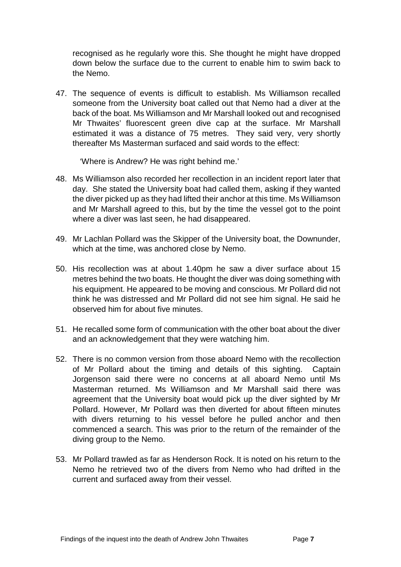recognised as he regularly wore this. She thought he might have dropped down below the surface due to the current to enable him to swim back to the Nemo.

47. The sequence of events is difficult to establish. Ms Williamson recalled someone from the University boat called out that Nemo had a diver at the back of the boat. Ms Williamson and Mr Marshall looked out and recognised Mr Thwaites' fluorescent green dive cap at the surface. Mr Marshall estimated it was a distance of 75 metres. They said very, very shortly thereafter Ms Masterman surfaced and said words to the effect:

'Where is Andrew? He was right behind me.'

- 48. Ms Williamson also recorded her recollection in an incident report later that day. She stated the University boat had called them, asking if they wanted the diver picked up as they had lifted their anchor at this time. Ms Williamson and Mr Marshall agreed to this, but by the time the vessel got to the point where a diver was last seen, he had disappeared.
- 49. Mr Lachlan Pollard was the Skipper of the University boat, the Downunder, which at the time, was anchored close by Nemo.
- 50. His recollection was at about 1.40pm he saw a diver surface about 15 metres behind the two boats. He thought the diver was doing something with his equipment. He appeared to be moving and conscious. Mr Pollard did not think he was distressed and Mr Pollard did not see him signal. He said he observed him for about five minutes.
- 51. He recalled some form of communication with the other boat about the diver and an acknowledgement that they were watching him.
- 52. There is no common version from those aboard Nemo with the recollection of Mr Pollard about the timing and details of this sighting. Captain Jorgenson said there were no concerns at all aboard Nemo until Ms Masterman returned. Ms Williamson and Mr Marshall said there was agreement that the University boat would pick up the diver sighted by Mr Pollard. However, Mr Pollard was then diverted for about fifteen minutes with divers returning to his vessel before he pulled anchor and then commenced a search. This was prior to the return of the remainder of the diving group to the Nemo.
- 53. Mr Pollard trawled as far as Henderson Rock. It is noted on his return to the Nemo he retrieved two of the divers from Nemo who had drifted in the current and surfaced away from their vessel.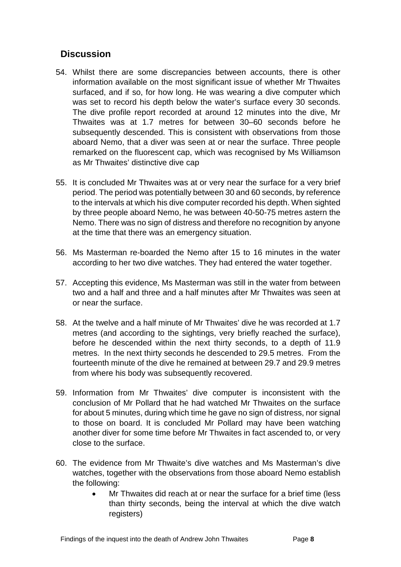# <span id="page-10-0"></span>**Discussion**

- 54. Whilst there are some discrepancies between accounts, there is other information available on the most significant issue of whether Mr Thwaites surfaced, and if so, for how long. He was wearing a dive computer which was set to record his depth below the water's surface every 30 seconds. The dive profile report recorded at around 12 minutes into the dive, Mr Thwaites was at 1.7 metres for between 30–60 seconds before he subsequently descended. This is consistent with observations from those aboard Nemo, that a diver was seen at or near the surface. Three people remarked on the fluorescent cap, which was recognised by Ms Williamson as Mr Thwaites' distinctive dive cap
- 55. It is concluded Mr Thwaites was at or very near the surface for a very brief period. The period was potentially between 30 and 60 seconds, by reference to the intervals at which his dive computer recorded his depth. When sighted by three people aboard Nemo, he was between 40-50-75 metres astern the Nemo. There was no sign of distress and therefore no recognition by anyone at the time that there was an emergency situation.
- 56. Ms Masterman re-boarded the Nemo after 15 to 16 minutes in the water according to her two dive watches. They had entered the water together.
- 57. Accepting this evidence, Ms Masterman was still in the water from between two and a half and three and a half minutes after Mr Thwaites was seen at or near the surface.
- 58. At the twelve and a half minute of Mr Thwaites' dive he was recorded at 1.7 metres (and according to the sightings, very briefly reached the surface), before he descended within the next thirty seconds, to a depth of 11.9 metres. In the next thirty seconds he descended to 29.5 metres. From the fourteenth minute of the dive he remained at between 29.7 and 29.9 metres from where his body was subsequently recovered.
- 59. Information from Mr Thwaites' dive computer is inconsistent with the conclusion of Mr Pollard that he had watched Mr Thwaites on the surface for about 5 minutes, during which time he gave no sign of distress, nor signal to those on board. It is concluded Mr Pollard may have been watching another diver for some time before Mr Thwaites in fact ascended to, or very close to the surface.
- 60. The evidence from Mr Thwaite's dive watches and Ms Masterman's dive watches, together with the observations from those aboard Nemo establish the following:
	- Mr Thwaites did reach at or near the surface for a brief time (less than thirty seconds, being the interval at which the dive watch registers)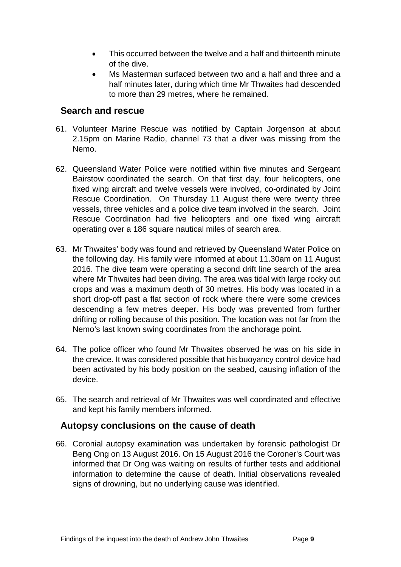- This occurred between the twelve and a half and thirteenth minute of the dive.
- Ms Masterman surfaced between two and a half and three and a half minutes later, during which time Mr Thwaites had descended to more than 29 metres, where he remained.

#### <span id="page-11-0"></span>**Search and rescue**

- 61. Volunteer Marine Rescue was notified by Captain Jorgenson at about 2.15pm on Marine Radio, channel 73 that a diver was missing from the Nemo.
- 62. Queensland Water Police were notified within five minutes and Sergeant Bairstow coordinated the search. On that first day, four helicopters, one fixed wing aircraft and twelve vessels were involved, co-ordinated by Joint Rescue Coordination. On Thursday 11 August there were twenty three vessels, three vehicles and a police dive team involved in the search. Joint Rescue Coordination had five helicopters and one fixed wing aircraft operating over a 186 square nautical miles of search area.
- 63. Mr Thwaites' body was found and retrieved by Queensland Water Police on the following day. His family were informed at about 11.30am on 11 August 2016. The dive team were operating a second drift line search of the area where Mr Thwaites had been diving. The area was tidal with large rocky out crops and was a maximum depth of 30 metres. His body was located in a short drop-off past a flat section of rock where there were some crevices descending a few metres deeper. His body was prevented from further drifting or rolling because of this position. The location was not far from the Nemo's last known swing coordinates from the anchorage point.
- 64. The police officer who found Mr Thwaites observed he was on his side in the crevice. It was considered possible that his buoyancy control device had been activated by his body position on the seabed, causing inflation of the device.
- 65. The search and retrieval of Mr Thwaites was well coordinated and effective and kept his family members informed.

#### <span id="page-11-1"></span>**Autopsy conclusions on the cause of death**

66. Coronial autopsy examination was undertaken by forensic pathologist Dr Beng Ong on 13 August 2016. On 15 August 2016 the Coroner's Court was informed that Dr Ong was waiting on results of further tests and additional information to determine the cause of death. Initial observations revealed signs of drowning, but no underlying cause was identified.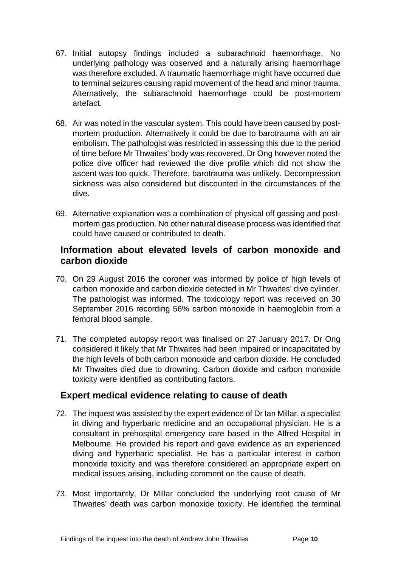- 67. Initial autopsy findings included a subarachnoid haemorrhage. No underlying pathology was observed and a naturally arising haemorrhage was therefore excluded. A traumatic haemorrhage might have occurred due to terminal seizures causing rapid movement of the head and minor trauma. Alternatively, the subarachnoid haemorrhage could be post-mortem artefact.
- 68. Air was noted in the vascular system. This could have been caused by postmortem production. Alternatively it could be due to barotrauma with an air embolism. The pathologist was restricted in assessing this due to the period of time before Mr Thwaites' body was recovered. Dr Ong however noted the police dive officer had reviewed the dive profile which did not show the ascent was too quick. Therefore, barotrauma was unlikely. Decompression sickness was also considered but discounted in the circumstances of the dive.
- 69. Alternative explanation was a combination of physical off gassing and postmortem gas production. No other natural disease process was identified that could have caused or contributed to death.

#### <span id="page-12-0"></span>**Information about elevated levels of carbon monoxide and carbon dioxide**

- 70. On 29 August 2016 the coroner was informed by police of high levels of carbon monoxide and carbon dioxide detected in Mr Thwaites' dive cylinder. The pathologist was informed. The toxicology report was received on 30 September 2016 recording 56% carbon monoxide in haemoglobin from a femoral blood sample.
- 71. The completed autopsy report was finalised on 27 January 2017. Dr Ong considered it likely that Mr Thwaites had been impaired or incapacitated by the high levels of both carbon monoxide and carbon dioxide. He concluded Mr Thwaites died due to drowning. Carbon dioxide and carbon monoxide toxicity were identified as contributing factors.

#### <span id="page-12-1"></span>**Expert medical evidence relating to cause of death**

- 72. The inquest was assisted by the expert evidence of Dr Ian Millar, a specialist in diving and hyperbaric medicine and an occupational physician. He is a consultant in prehospital emergency care based in the Alfred Hospital in Melbourne. He provided his report and gave evidence as an experienced diving and hyperbaric specialist. He has a particular interest in carbon monoxide toxicity and was therefore considered an appropriate expert on medical issues arising, including comment on the cause of death.
- 73. Most importantly, Dr Millar concluded the underlying root cause of Mr Thwaites' death was carbon monoxide toxicity. He identified the terminal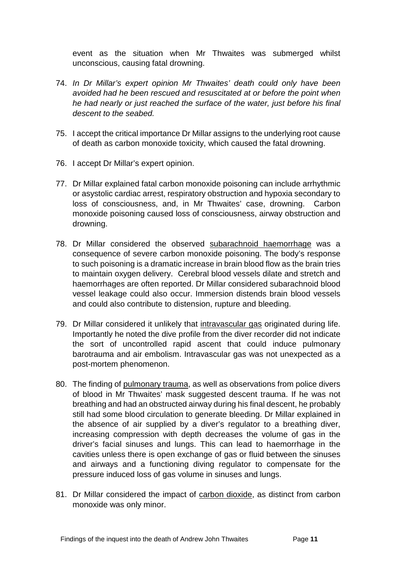event as the situation when Mr Thwaites was submerged whilst unconscious, causing fatal drowning.

- 74. *In Dr Millar's expert opinion Mr Thwaites' death could only have been avoided had he been rescued and resuscitated at or before the point when he had nearly or just reached the surface of the water, just before his final descent to the seabed.*
- 75. I accept the critical importance Dr Millar assigns to the underlying root cause of death as carbon monoxide toxicity, which caused the fatal drowning.
- 76. I accept Dr Millar's expert opinion.
- 77. Dr Millar explained fatal carbon monoxide poisoning can include arrhythmic or asystolic cardiac arrest, respiratory obstruction and hypoxia secondary to loss of consciousness, and, in Mr Thwaites' case, drowning. Carbon monoxide poisoning caused loss of consciousness, airway obstruction and drowning.
- 78. Dr Millar considered the observed subarachnoid haemorrhage was a consequence of severe carbon monoxide poisoning. The body's response to such poisoning is a dramatic increase in brain blood flow as the brain tries to maintain oxygen delivery. Cerebral blood vessels dilate and stretch and haemorrhages are often reported. Dr Millar considered subarachnoid blood vessel leakage could also occur. Immersion distends brain blood vessels and could also contribute to distension, rupture and bleeding.
- 79. Dr Millar considered it unlikely that intravascular gas originated during life. Importantly he noted the dive profile from the diver recorder did not indicate the sort of uncontrolled rapid ascent that could induce pulmonary barotrauma and air embolism. Intravascular gas was not unexpected as a post-mortem phenomenon.
- 80. The finding of pulmonary trauma, as well as observations from police divers of blood in Mr Thwaites' mask suggested descent trauma. If he was not breathing and had an obstructed airway during his final descent, he probably still had some blood circulation to generate bleeding. Dr Millar explained in the absence of air supplied by a diver's regulator to a breathing diver, increasing compression with depth decreases the volume of gas in the driver's facial sinuses and lungs. This can lead to haemorrhage in the cavities unless there is open exchange of gas or fluid between the sinuses and airways and a functioning diving regulator to compensate for the pressure induced loss of gas volume in sinuses and lungs.
- 81. Dr Millar considered the impact of carbon dioxide, as distinct from carbon monoxide was only minor.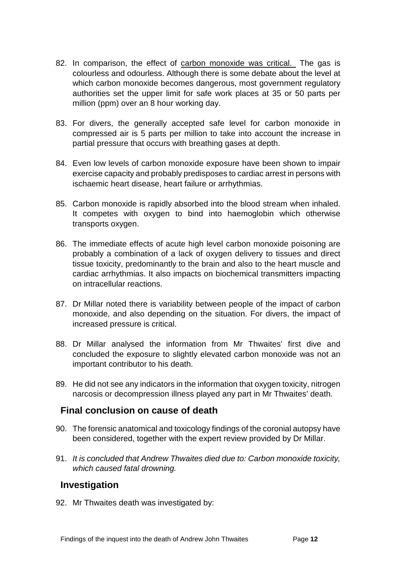- 82. In comparison, the effect of carbon monoxide was critical. The gas is colourless and odourless. Although there is some debate about the level at which carbon monoxide becomes dangerous, most government regulatory authorities set the upper limit for safe work places at 35 or 50 parts per million (ppm) over an 8 hour working day.
- 83. For divers, the generally accepted safe level for carbon monoxide in compressed air is 5 parts per million to take into account the increase in partial pressure that occurs with breathing gases at depth.
- 84. Even low levels of carbon monoxide exposure have been shown to impair exercise capacity and probably predisposes to cardiac arrest in persons with ischaemic heart disease, heart failure or arrhythmias.
- 85. Carbon monoxide is rapidly absorbed into the blood stream when inhaled. It competes with oxygen to bind into haemoglobin which otherwise transports oxygen.
- 86. The immediate effects of acute high level carbon monoxide poisoning are probably a combination of a lack of oxygen delivery to tissues and direct tissue toxicity, predominantly to the brain and also to the heart muscle and cardiac arrhythmias. It also impacts on biochemical transmitters impacting on intracellular reactions.
- 87. Dr Millar noted there is variability between people of the impact of carbon monoxide, and also depending on the situation. For divers, the impact of increased pressure is critical.
- 88. Dr Millar analysed the information from Mr Thwaites' first dive and concluded the exposure to slightly elevated carbon monoxide was not an important contributor to his death.
- 89. He did not see any indicators in the information that oxygen toxicity, nitrogen narcosis or decompression illness played any part in Mr Thwaites' death.

#### <span id="page-14-0"></span>**Final conclusion on cause of death**

- 90. The forensic anatomical and toxicology findings of the coronial autopsy have been considered, together with the expert review provided by Dr Millar.
- 91. *It is concluded that Andrew Thwaites died due to: Carbon monoxide toxicity, which caused fatal drowning.*

#### <span id="page-14-1"></span>**Investigation**

92. Mr Thwaites death was investigated by: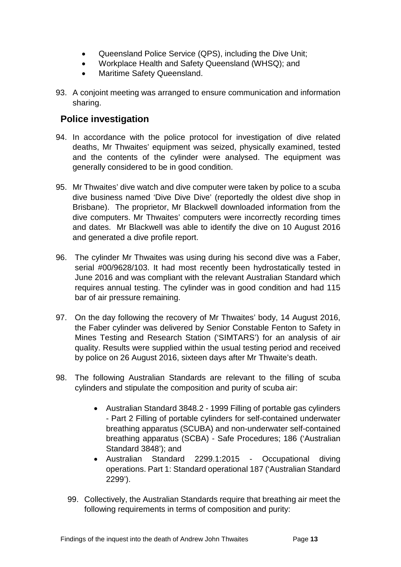- Queensland Police Service (QPS), including the Dive Unit;
- Workplace Health and Safety Queensland (WHSQ); and
- Maritime Safety Queensland.
- 93. A conjoint meeting was arranged to ensure communication and information sharing.

## <span id="page-15-0"></span>**Police investigation**

- 94. In accordance with the police protocol for investigation of dive related deaths, Mr Thwaites' equipment was seized, physically examined, tested and the contents of the cylinder were analysed. The equipment was generally considered to be in good condition.
- 95. Mr Thwaites' dive watch and dive computer were taken by police to a scuba dive business named 'Dive Dive Dive' (reportedly the oldest dive shop in Brisbane). The proprietor, Mr Blackwell downloaded information from the dive computers. Mr Thwaites' computers were incorrectly recording times and dates. Mr Blackwell was able to identify the dive on 10 August 2016 and generated a dive profile report.
- 96. The cylinder Mr Thwaites was using during his second dive was a Faber, serial #00/9628/103. It had most recently been hydrostatically tested in June 2016 and was compliant with the relevant Australian Standard which requires annual testing. The cylinder was in good condition and had 115 bar of air pressure remaining.
- 97. On the day following the recovery of Mr Thwaites' body, 14 August 2016, the Faber cylinder was delivered by Senior Constable Fenton to Safety in Mines Testing and Research Station ('SIMTARS') for an analysis of air quality. Results were supplied within the usual testing period and received by police on 26 August 2016, sixteen days after Mr Thwaite's death.
- 98. The following Australian Standards are relevant to the filling of scuba cylinders and stipulate the composition and purity of scuba air:
	- Australian Standard 3848.2 1999 Filling of portable gas cylinders - Part 2 Filling of portable cylinders for self-contained underwater breathing apparatus (SCUBA) and non-underwater self-contained breathing apparatus (SCBA) - Safe Procedures; 186 ('Australian Standard 3848'); and
	- Australian Standard 2299.1:2015 Occupational diving operations. Part 1: Standard operational 187 ('Australian Standard 2299').
	- 99. Collectively, the Australian Standards require that breathing air meet the following requirements in terms of composition and purity: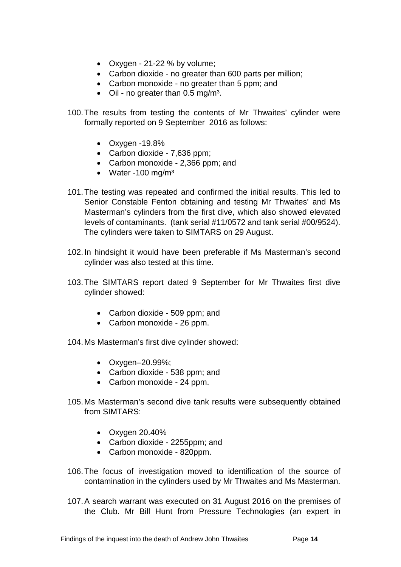- Oxygen 21-22 % by volume;
- Carbon dioxide no greater than 600 parts per million;
- Carbon monoxide no greater than 5 ppm; and
- Oil no greater than  $0.5 \text{ mg/m}^3$ .
- 100.The results from testing the contents of Mr Thwaites' cylinder were formally reported on 9 September 2016 as follows:
	- Oxygen -19.8%
	- Carbon dioxide 7,636 ppm;
	- Carbon monoxide 2,366 ppm; and
	- Water -100 mg/m $3$
- 101.The testing was repeated and confirmed the initial results. This led to Senior Constable Fenton obtaining and testing Mr Thwaites' and Ms Masterman's cylinders from the first dive, which also showed elevated levels of contaminants. (tank serial #11/0572 and tank serial #00/9524). The cylinders were taken to SIMTARS on 29 August.
- 102.In hindsight it would have been preferable if Ms Masterman's second cylinder was also tested at this time.
- 103.The SIMTARS report dated 9 September for Mr Thwaites first dive cylinder showed:
	- Carbon dioxide 509 ppm; and
	- Carbon monoxide 26 ppm.
- 104.Ms Masterman's first dive cylinder showed:
	- Oxygen–20.99%;
	- Carbon dioxide 538 ppm; and
	- Carbon monoxide 24 ppm.
- 105.Ms Masterman's second dive tank results were subsequently obtained from SIMTARS:
	- Oxygen 20.40%
	- Carbon dioxide 2255ppm; and
	- Carbon monoxide 820ppm.
- 106.The focus of investigation moved to identification of the source of contamination in the cylinders used by Mr Thwaites and Ms Masterman.
- 107.A search warrant was executed on 31 August 2016 on the premises of the Club. Mr Bill Hunt from Pressure Technologies (an expert in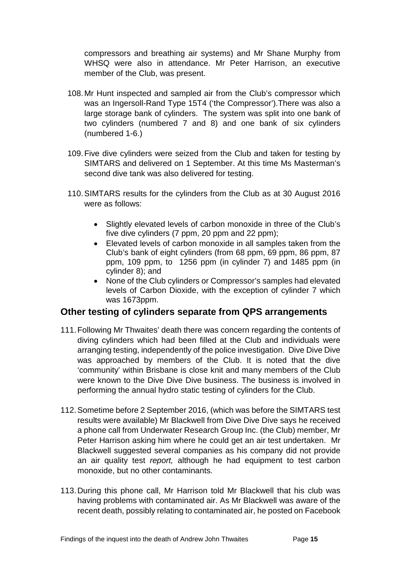compressors and breathing air systems) and Mr Shane Murphy from WHSQ were also in attendance. Mr Peter Harrison, an executive member of the Club, was present.

- 108.Mr Hunt inspected and sampled air from the Club's compressor which was an Ingersoll-Rand Type 15T4 ('the Compressor').There was also a large storage bank of cylinders. The system was split into one bank of two cylinders (numbered 7 and 8) and one bank of six cylinders (numbered 1-6.)
- 109.Five dive cylinders were seized from the Club and taken for testing by SIMTARS and delivered on 1 September. At this time Ms Masterman's second dive tank was also delivered for testing.
- 110.SIMTARS results for the cylinders from the Club as at 30 August 2016 were as follows:
	- Slightly elevated levels of carbon monoxide in three of the Club's five dive cylinders (7 ppm, 20 ppm and 22 ppm);
	- Elevated levels of carbon monoxide in all samples taken from the Club's bank of eight cylinders (from 68 ppm, 69 ppm, 86 ppm, 87 ppm, 109 ppm, to 1256 ppm (in cylinder 7) and 1485 ppm (in cylinder 8); and
	- None of the Club cylinders or Compressor's samples had elevated levels of Carbon Dioxide, with the exception of cylinder 7 which was 1673ppm.

#### <span id="page-17-0"></span>**Other testing of cylinders separate from QPS arrangements**

- 111.Following Mr Thwaites' death there was concern regarding the contents of diving cylinders which had been filled at the Club and individuals were arranging testing, independently of the police investigation. Dive Dive Dive was approached by members of the Club. It is noted that the dive 'community' within Brisbane is close knit and many members of the Club were known to the Dive Dive Dive business. The business is involved in performing the annual hydro static testing of cylinders for the Club.
- 112.Sometime before 2 September 2016, (which was before the SIMTARS test results were available) Mr Blackwell from Dive Dive Dive says he received a phone call from Underwater Research Group Inc. (the Club) member, Mr Peter Harrison asking him where he could get an air test undertaken. Mr Blackwell suggested several companies as his company did not provide an air quality test *report,* although he had equipment to test carbon monoxide, but no other contaminants.
- 113.During this phone call, Mr Harrison told Mr Blackwell that his club was having problems with contaminated air. As Mr Blackwell was aware of the recent death, possibly relating to contaminated air, he posted on Facebook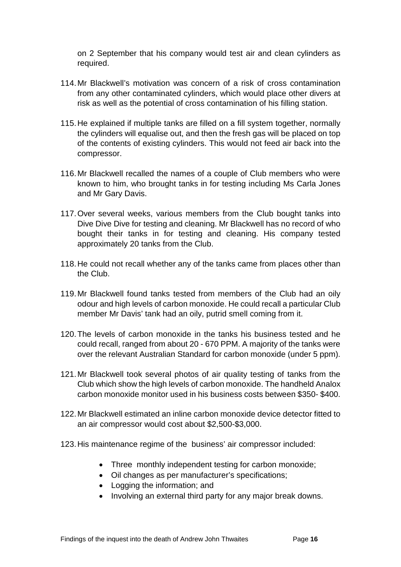on 2 September that his company would test air and clean cylinders as required.

- 114.Mr Blackwell's motivation was concern of a risk of cross contamination from any other contaminated cylinders, which would place other divers at risk as well as the potential of cross contamination of his filling station.
- 115.He explained if multiple tanks are filled on a fill system together, normally the cylinders will equalise out, and then the fresh gas will be placed on top of the contents of existing cylinders. This would not feed air back into the compressor.
- 116.Mr Blackwell recalled the names of a couple of Club members who were known to him, who brought tanks in for testing including Ms Carla Jones and Mr Gary Davis.
- 117.Over several weeks, various members from the Club bought tanks into Dive Dive Dive for testing and cleaning. Mr Blackwell has no record of who bought their tanks in for testing and cleaning. His company tested approximately 20 tanks from the Club.
- 118.He could not recall whether any of the tanks came from places other than the Club.
- 119.Mr Blackwell found tanks tested from members of the Club had an oily odour and high levels of carbon monoxide. He could recall a particular Club member Mr Davis' tank had an oily, putrid smell coming from it.
- 120.The levels of carbon monoxide in the tanks his business tested and he could recall, ranged from about 20 - 670 PPM. A majority of the tanks were over the relevant Australian Standard for carbon monoxide (under 5 ppm).
- 121.Mr Blackwell took several photos of air quality testing of tanks from the Club which show the high levels of carbon monoxide. The handheld Analox carbon monoxide monitor used in his business costs between \$350- \$400.
- 122.Mr Blackwell estimated an inline carbon monoxide device detector fitted to an air compressor would cost about \$2,500-\$3,000.
- 123.His maintenance regime of the business' air compressor included:
	- Three monthly independent testing for carbon monoxide;
	- Oil changes as per manufacturer's specifications;
	- Logging the information; and
	- Involving an external third party for any major break downs.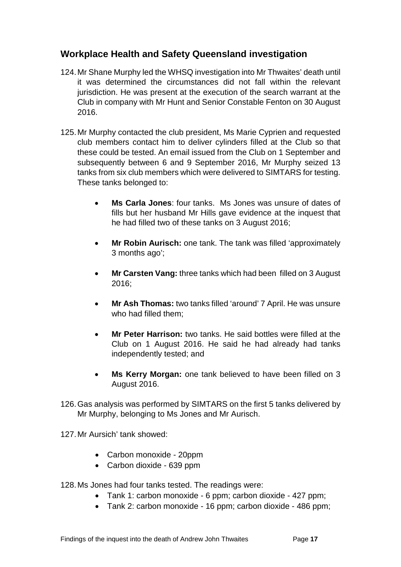## <span id="page-19-0"></span>**Workplace Health and Safety Queensland investigation**

- 124.Mr Shane Murphy led the WHSQ investigation into Mr Thwaites' death until it was determined the circumstances did not fall within the relevant jurisdiction. He was present at the execution of the search warrant at the Club in company with Mr Hunt and Senior Constable Fenton on 30 August 2016.
- 125.Mr Murphy contacted the club president, Ms Marie Cyprien and requested club members contact him to deliver cylinders filled at the Club so that these could be tested. An email issued from the Club on 1 September and subsequently between 6 and 9 September 2016, Mr Murphy seized 13 tanks from six club members which were delivered to SIMTARS for testing. These tanks belonged to:
	- **Ms Carla Jones**: four tanks. Ms Jones was unsure of dates of fills but her husband Mr Hills gave evidence at the inquest that he had filled two of these tanks on 3 August 2016;
	- **Mr Robin Aurisch:** one tank. The tank was filled 'approximately 3 months ago';
	- **Mr Carsten Vang:** three tanks which had been filled on 3 August 2016;
	- **Mr Ash Thomas:** two tanks filled 'around' 7 April. He was unsure who had filled them;
	- **Mr Peter Harrison:** two tanks. He said bottles were filled at the Club on 1 August 2016. He said he had already had tanks independently tested; and
	- **Ms Kerry Morgan:** one tank believed to have been filled on 3 August 2016.
- 126.Gas analysis was performed by SIMTARS on the first 5 tanks delivered by Mr Murphy, belonging to Ms Jones and Mr Aurisch.
- 127.Mr Aursich' tank showed:
	- Carbon monoxide 20ppm
	- Carbon dioxide 639 ppm
- 128.Ms Jones had four tanks tested. The readings were:
	- Tank 1: carbon monoxide 6 ppm; carbon dioxide 427 ppm;
	- Tank 2: carbon monoxide 16 ppm; carbon dioxide 486 ppm;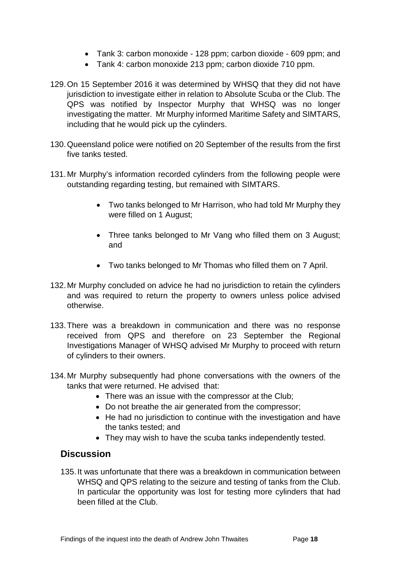- Tank 3: carbon monoxide 128 ppm; carbon dioxide 609 ppm; and
- Tank 4: carbon monoxide 213 ppm; carbon dioxide 710 ppm.
- 129.On 15 September 2016 it was determined by WHSQ that they did not have jurisdiction to investigate either in relation to Absolute Scuba or the Club. The QPS was notified by Inspector Murphy that WHSQ was no longer investigating the matter. Mr Murphy informed Maritime Safety and SIMTARS, including that he would pick up the cylinders.
- 130.Queensland police were notified on 20 September of the results from the first five tanks tested.
- 131.Mr Murphy's information recorded cylinders from the following people were outstanding regarding testing, but remained with SIMTARS.
	- Two tanks belonged to Mr Harrison, who had told Mr Murphy they were filled on 1 August;
	- Three tanks belonged to Mr Vang who filled them on 3 August; and
	- Two tanks belonged to Mr Thomas who filled them on 7 April.
- 132.Mr Murphy concluded on advice he had no jurisdiction to retain the cylinders and was required to return the property to owners unless police advised otherwise.
- 133.There was a breakdown in communication and there was no response received from QPS and therefore on 23 September the Regional Investigations Manager of WHSQ advised Mr Murphy to proceed with return of cylinders to their owners.
- 134.Mr Murphy subsequently had phone conversations with the owners of the tanks that were returned. He advised that:
	- There was an issue with the compressor at the Club;
	- Do not breathe the air generated from the compressor;
	- He had no jurisdiction to continue with the investigation and have the tanks tested; and
	- They may wish to have the scuba tanks independently tested.

#### <span id="page-20-0"></span>**Discussion**

135.It was unfortunate that there was a breakdown in communication between WHSQ and QPS relating to the seizure and testing of tanks from the Club. In particular the opportunity was lost for testing more cylinders that had been filled at the Club.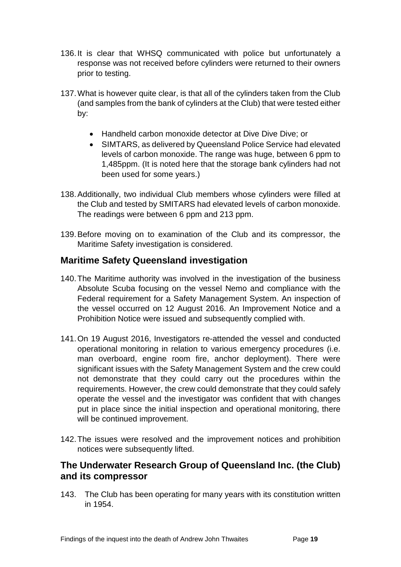- 136.It is clear that WHSQ communicated with police but unfortunately a response was not received before cylinders were returned to their owners prior to testing.
- 137.What is however quite clear, is that all of the cylinders taken from the Club (and samples from the bank of cylinders at the Club) that were tested either by:
	- Handheld carbon monoxide detector at Dive Dive Dive; or
	- SIMTARS, as delivered by Queensland Police Service had elevated levels of carbon monoxide. The range was huge, between 6 ppm to 1,485ppm. (It is noted here that the storage bank cylinders had not been used for some years.)
- 138.Additionally, two individual Club members whose cylinders were filled at the Club and tested by SMITARS had elevated levels of carbon monoxide. The readings were between 6 ppm and 213 ppm.
- 139.Before moving on to examination of the Club and its compressor, the Maritime Safety investigation is considered.

## <span id="page-21-0"></span>**Maritime Safety Queensland investigation**

- 140.The Maritime authority was involved in the investigation of the business Absolute Scuba focusing on the vessel Nemo and compliance with the Federal requirement for a Safety Management System. An inspection of the vessel occurred on 12 August 2016. An Improvement Notice and a Prohibition Notice were issued and subsequently complied with.
- 141.On 19 August 2016, Investigators re-attended the vessel and conducted operational monitoring in relation to various emergency procedures (i.e. man overboard, engine room fire, anchor deployment). There were significant issues with the Safety Management System and the crew could not demonstrate that they could carry out the procedures within the requirements. However, the crew could demonstrate that they could safely operate the vessel and the investigator was confident that with changes put in place since the initial inspection and operational monitoring, there will be continued improvement.
- 142.The issues were resolved and the improvement notices and prohibition notices were subsequently lifted.

#### <span id="page-21-1"></span>**The Underwater Research Group of Queensland Inc. (the Club) and its compressor**

143. The Club has been operating for many years with its constitution written in 1954.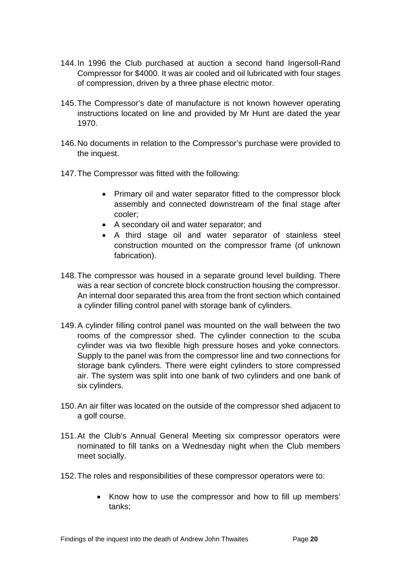- 144.In 1996 the Club purchased at auction a second hand Ingersoll-Rand Compressor for \$4000. It was air cooled and oil lubricated with four stages of compression, driven by a three phase electric motor.
- 145.The Compressor's date of manufacture is not known however operating instructions located on line and provided by Mr Hunt are dated the year 1970.
- 146.No documents in relation to the Compressor's purchase were provided to the inquest.
- 147.The Compressor was fitted with the following:
	- Primary oil and water separator fitted to the compressor block assembly and connected downstream of the final stage after cooler;
	- A secondary oil and water separator; and
	- A third stage oil and water separator of stainless steel construction mounted on the compressor frame (of unknown fabrication).
- 148.The compressor was housed in a separate ground level building. There was a rear section of concrete block construction housing the compressor. An internal door separated this area from the front section which contained a cylinder filling control panel with storage bank of cylinders.
- 149.A cylinder filling control panel was mounted on the wall between the two rooms of the compressor shed. The cylinder connection to the scuba cylinder was via two flexible high pressure hoses and yoke connectors. Supply to the panel was from the compressor line and two connections for storage bank cylinders. There were eight cylinders to store compressed air. The system was split into one bank of two cylinders and one bank of six cylinders.
- 150.An air filter was located on the outside of the compressor shed adjacent to a golf course.
- 151.At the Club's Annual General Meeting six compressor operators were nominated to fill tanks on a Wednesday night when the Club members meet socially.
- 152.The roles and responsibilities of these compressor operators were to:
	- Know how to use the compressor and how to fill up members' tanks;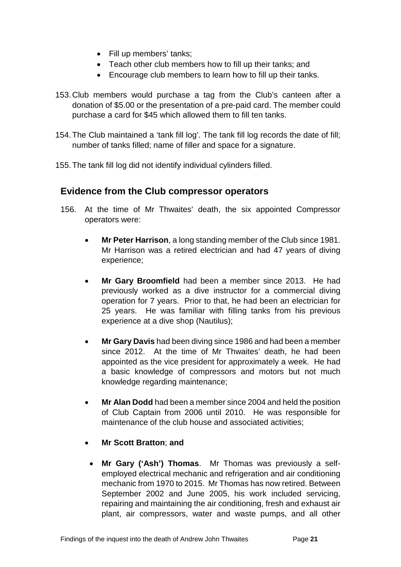- Fill up members' tanks;
- Teach other club members how to fill up their tanks; and
- Encourage club members to learn how to fill up their tanks.
- 153.Club members would purchase a tag from the Club's canteen after a donation of \$5.00 or the presentation of a pre-paid card. The member could purchase a card for \$45 which allowed them to fill ten tanks.
- 154.The Club maintained a 'tank fill log'. The tank fill log records the date of fill; number of tanks filled; name of filler and space for a signature.
- 155.The tank fill log did not identify individual cylinders filled.

## <span id="page-23-0"></span>**Evidence from the Club compressor operators**

- 156. At the time of Mr Thwaites' death, the six appointed Compressor operators were:
	- **Mr Peter Harrison**, a long standing member of the Club since 1981. Mr Harrison was a retired electrician and had 47 years of diving experience;
	- **Mr Gary Broomfield** had been a member since 2013. He had previously worked as a dive instructor for a commercial diving operation for 7 years. Prior to that, he had been an electrician for 25 years. He was familiar with filling tanks from his previous experience at a dive shop (Nautilus);
	- **Mr Gary Davis** had been diving since 1986 and had been a member since 2012. At the time of Mr Thwaites' death, he had been appointed as the vice president for approximately a week. He had a basic knowledge of compressors and motors but not much knowledge regarding maintenance;
	- **Mr Alan Dodd** had been a member since 2004 and held the position of Club Captain from 2006 until 2010. He was responsible for maintenance of the club house and associated activities;
	- **Mr Scott Bratton**; **and** 
		- **Mr Gary ('Ash') Thomas**. Mr Thomas was previously a selfemployed electrical mechanic and refrigeration and air conditioning mechanic from 1970 to 2015. Mr Thomas has now retired. Between September 2002 and June 2005, his work included servicing, repairing and maintaining the air conditioning, fresh and exhaust air plant, air compressors, water and waste pumps, and all other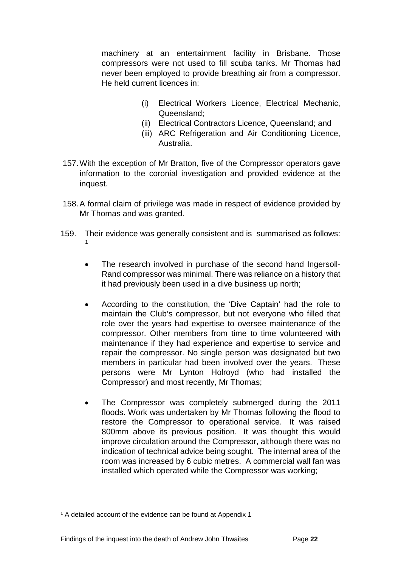machinery at an entertainment facility in Brisbane. Those compressors were not used to fill scuba tanks. Mr Thomas had never been employed to provide breathing air from a compressor. He held current licences in:

- (i) Electrical Workers Licence, Electrical Mechanic, Queensland;
- (ii) Electrical Contractors Licence, Queensland; and
- (iii) ARC Refrigeration and Air Conditioning Licence, Australia.
- 157.With the exception of Mr Bratton, five of the Compressor operators gave information to the coronial investigation and provided evidence at the inquest.
- 158.A formal claim of privilege was made in respect of evidence provided by Mr Thomas and was granted.
- 159. Their evidence was generally consistent and is summarised as follows: [1](#page-24-0)
	- The research involved in purchase of the second hand Ingersoll-Rand compressor was minimal. There was reliance on a history that it had previously been used in a dive business up north;
	- According to the constitution, the 'Dive Captain' had the role to maintain the Club's compressor, but not everyone who filled that role over the years had expertise to oversee maintenance of the compressor. Other members from time to time volunteered with maintenance if they had experience and expertise to service and repair the compressor. No single person was designated but two members in particular had been involved over the years. These persons were Mr Lynton Holroyd (who had installed the Compressor) and most recently, Mr Thomas;
	- The Compressor was completely submerged during the 2011 floods. Work was undertaken by Mr Thomas following the flood to restore the Compressor to operational service. It was raised 800mm above its previous position. It was thought this would improve circulation around the Compressor, although there was no indication of technical advice being sought. The internal area of the room was increased by 6 cubic metres. A commercial wall fan was installed which operated while the Compressor was working;

<span id="page-24-0"></span><sup>1</sup> A detailed account of the evidence can be found at Appendix 1  $\overline{a}$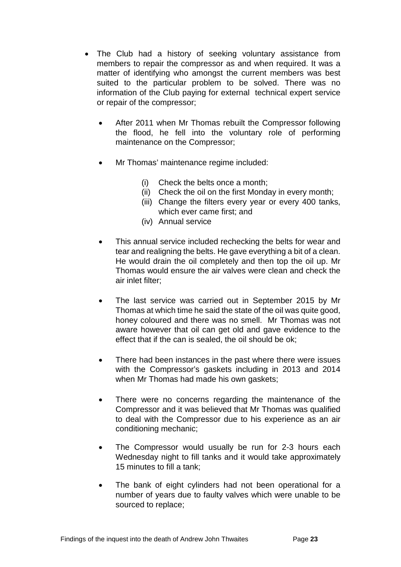- The Club had a history of seeking voluntary assistance from members to repair the compressor as and when required. It was a matter of identifying who amongst the current members was best suited to the particular problem to be solved. There was no information of the Club paying for external technical expert service or repair of the compressor;
	- After 2011 when Mr Thomas rebuilt the Compressor following the flood, he fell into the voluntary role of performing maintenance on the Compressor;
	- Mr Thomas' maintenance regime included:
		- (i) Check the belts once a month;
		- (ii) Check the oil on the first Monday in every month;
		- (iii) Change the filters every year or every 400 tanks, which ever came first; and
		- (iv) Annual service
	- This annual service included rechecking the belts for wear and tear and realigning the belts. He gave everything a bit of a clean. He would drain the oil completely and then top the oil up. Mr Thomas would ensure the air valves were clean and check the air inlet filter;
	- The last service was carried out in September 2015 by Mr Thomas at which time he said the state of the oil was quite good, honey coloured and there was no smell. Mr Thomas was not aware however that oil can get old and gave evidence to the effect that if the can is sealed, the oil should be ok;
	- There had been instances in the past where there were issues with the Compressor's gaskets including in 2013 and 2014 when Mr Thomas had made his own gaskets;
	- There were no concerns regarding the maintenance of the Compressor and it was believed that Mr Thomas was qualified to deal with the Compressor due to his experience as an air conditioning mechanic;
	- The Compressor would usually be run for 2-3 hours each Wednesday night to fill tanks and it would take approximately 15 minutes to fill a tank;
	- The bank of eight cylinders had not been operational for a number of years due to faulty valves which were unable to be sourced to replace;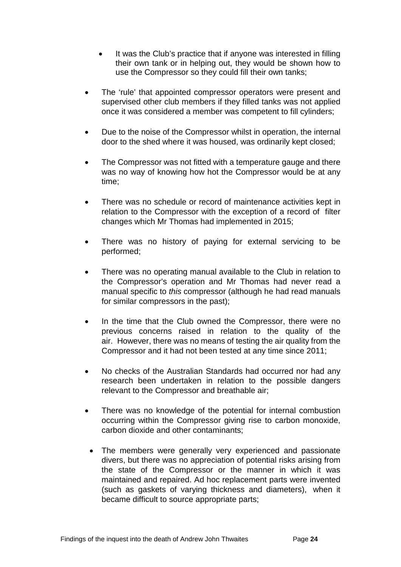- It was the Club's practice that if anyone was interested in filling their own tank or in helping out, they would be shown how to use the Compressor so they could fill their own tanks;
- The 'rule' that appointed compressor operators were present and supervised other club members if they filled tanks was not applied once it was considered a member was competent to fill cylinders;
- Due to the noise of the Compressor whilst in operation, the internal door to the shed where it was housed, was ordinarily kept closed;
- The Compressor was not fitted with a temperature gauge and there was no way of knowing how hot the Compressor would be at any time;
- There was no schedule or record of maintenance activities kept in relation to the Compressor with the exception of a record of filter changes which Mr Thomas had implemented in 2015;
- There was no history of paying for external servicing to be performed;
- There was no operating manual available to the Club in relation to the Compressor's operation and Mr Thomas had never read a manual specific to *this* compressor (although he had read manuals for similar compressors in the past);
- In the time that the Club owned the Compressor, there were no previous concerns raised in relation to the quality of the air. However, there was no means of testing the air quality from the Compressor and it had not been tested at any time since 2011;
- No checks of the Australian Standards had occurred nor had any research been undertaken in relation to the possible dangers relevant to the Compressor and breathable air;
- There was no knowledge of the potential for internal combustion occurring within the Compressor giving rise to carbon monoxide, carbon dioxide and other contaminants;
	- The members were generally very experienced and passionate divers, but there was no appreciation of potential risks arising from the state of the Compressor or the manner in which it was maintained and repaired. Ad hoc replacement parts were invented (such as gaskets of varying thickness and diameters), when it became difficult to source appropriate parts;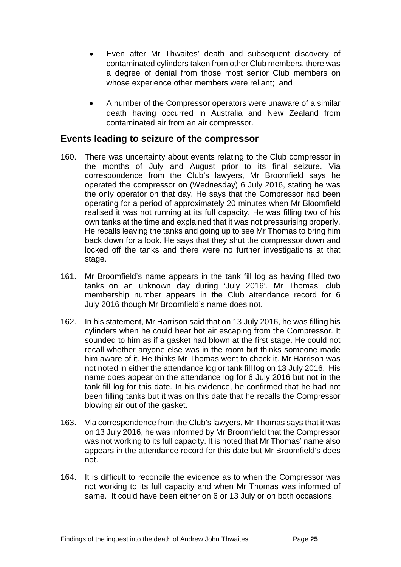- Even after Mr Thwaites' death and subsequent discovery of contaminated cylinders taken from other Club members, there was a degree of denial from those most senior Club members on whose experience other members were reliant; and
- A number of the Compressor operators were unaware of a similar death having occurred in Australia and New Zealand from contaminated air from an air compressor.

#### <span id="page-27-0"></span>**Events leading to seizure of the compressor**

- 160. There was uncertainty about events relating to the Club compressor in the months of July and August prior to its final seizure. Via correspondence from the Club's lawyers, Mr Broomfield says he operated the compressor on (Wednesday) 6 July 2016, stating he was the only operator on that day. He says that the Compressor had been operating for a period of approximately 20 minutes when Mr Bloomfield realised it was not running at its full capacity. He was filling two of his own tanks at the time and explained that it was not pressurising properly. He recalls leaving the tanks and going up to see Mr Thomas to bring him back down for a look. He says that they shut the compressor down and locked off the tanks and there were no further investigations at that stage.
- 161. Mr Broomfield's name appears in the tank fill log as having filled two tanks on an unknown day during 'July 2016'. Mr Thomas' club membership number appears in the Club attendance record for 6 July 2016 though Mr Broomfield's name does not.
- 162. In his statement, Mr Harrison said that on 13 July 2016, he was filling his cylinders when he could hear hot air escaping from the Compressor. It sounded to him as if a gasket had blown at the first stage. He could not recall whether anyone else was in the room but thinks someone made him aware of it. He thinks Mr Thomas went to check it. Mr Harrison was not noted in either the attendance log or tank fill log on 13 July 2016. His name does appear on the attendance log for 6 July 2016 but not in the tank fill log for this date. In his evidence, he confirmed that he had not been filling tanks but it was on this date that he recalls the Compressor blowing air out of the gasket.
- 163. Via correspondence from the Club's lawyers, Mr Thomas says that it was on 13 July 2016, he was informed by Mr Broomfield that the Compressor was not working to its full capacity. It is noted that Mr Thomas' name also appears in the attendance record for this date but Mr Broomfield's does not.
- 164. It is difficult to reconcile the evidence as to when the Compressor was not working to its full capacity and when Mr Thomas was informed of same. It could have been either on 6 or 13 July or on both occasions.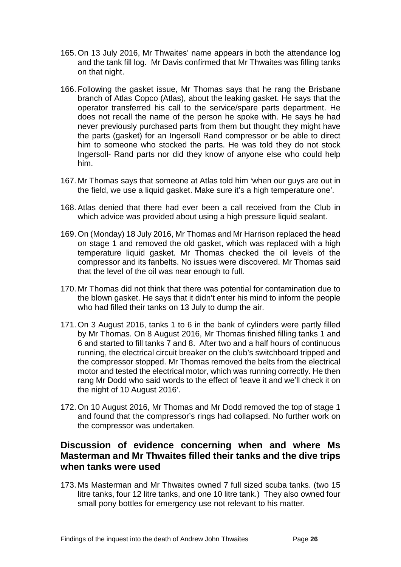- 165. On 13 July 2016, Mr Thwaites' name appears in both the attendance log and the tank fill log. Mr Davis confirmed that Mr Thwaites was filling tanks on that night.
- 166. Following the gasket issue, Mr Thomas says that he rang the Brisbane branch of Atlas Copco (Atlas), about the leaking gasket. He says that the operator transferred his call to the service/spare parts department. He does not recall the name of the person he spoke with. He says he had never previously purchased parts from them but thought they might have the parts (gasket) for an Ingersoll Rand compressor or be able to direct him to someone who stocked the parts. He was told they do not stock Ingersoll- Rand parts nor did they know of anyone else who could help him.
- 167. Mr Thomas says that someone at Atlas told him 'when our guys are out in the field, we use a liquid gasket. Make sure it's a high temperature one'.
- 168. Atlas denied that there had ever been a call received from the Club in which advice was provided about using a high pressure liquid sealant.
- 169. On (Monday) 18 July 2016, Mr Thomas and Mr Harrison replaced the head on stage 1 and removed the old gasket, which was replaced with a high temperature liquid gasket. Mr Thomas checked the oil levels of the compressor and its fanbelts. No issues were discovered. Mr Thomas said that the level of the oil was near enough to full.
- 170. Mr Thomas did not think that there was potential for contamination due to the blown gasket. He says that it didn't enter his mind to inform the people who had filled their tanks on 13 July to dump the air.
- 171. On 3 August 2016, tanks 1 to 6 in the bank of cylinders were partly filled by Mr Thomas. On 8 August 2016, Mr Thomas finished filling tanks 1 and 6 and started to fill tanks 7 and 8. After two and a half hours of continuous running, the electrical circuit breaker on the club's switchboard tripped and the compressor stopped. Mr Thomas removed the belts from the electrical motor and tested the electrical motor, which was running correctly. He then rang Mr Dodd who said words to the effect of 'leave it and we'll check it on the night of 10 August 2016'.
- 172. On 10 August 2016, Mr Thomas and Mr Dodd removed the top of stage 1 and found that the compressor's rings had collapsed. No further work on the compressor was undertaken.

#### <span id="page-28-0"></span>**Discussion of evidence concerning when and where Ms Masterman and Mr Thwaites filled their tanks and the dive trips when tanks were used**

173. Ms Masterman and Mr Thwaites owned 7 full sized scuba tanks. (two 15 litre tanks, four 12 litre tanks, and one 10 litre tank.) They also owned four small pony bottles for emergency use not relevant to his matter.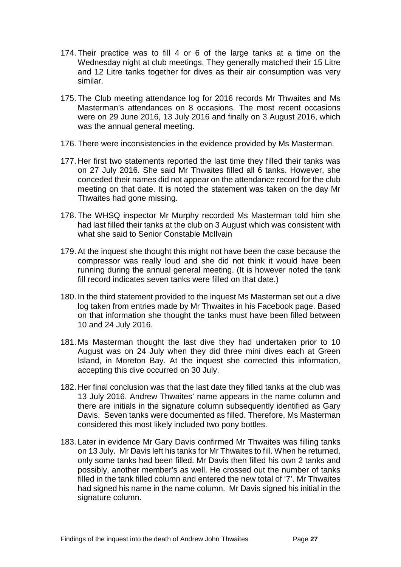- 174. Their practice was to fill 4 or 6 of the large tanks at a time on the Wednesday night at club meetings. They generally matched their 15 Litre and 12 Litre tanks together for dives as their air consumption was very similar.
- 175. The Club meeting attendance log for 2016 records Mr Thwaites and Ms Masterman's attendances on 8 occasions. The most recent occasions were on 29 June 2016, 13 July 2016 and finally on 3 August 2016, which was the annual general meeting.
- 176. There were inconsistencies in the evidence provided by Ms Masterman.
- 177. Her first two statements reported the last time they filled their tanks was on 27 July 2016. She said Mr Thwaites filled all 6 tanks. However, she conceded their names did not appear on the attendance record for the club meeting on that date. It is noted the statement was taken on the day Mr Thwaites had gone missing.
- 178. The WHSQ inspector Mr Murphy recorded Ms Masterman told him she had last filled their tanks at the club on 3 August which was consistent with what she said to Senior Constable McIlvain
- 179. At the inquest she thought this might not have been the case because the compressor was really loud and she did not think it would have been running during the annual general meeting. (It is however noted the tank fill record indicates seven tanks were filled on that date.)
- 180. In the third statement provided to the inquest Ms Masterman set out a dive log taken from entries made by Mr Thwaites in his Facebook page. Based on that information she thought the tanks must have been filled between 10 and 24 July 2016.
- 181. Ms Masterman thought the last dive they had undertaken prior to 10 August was on 24 July when they did three mini dives each at Green Island, in Moreton Bay. At the inquest she corrected this information, accepting this dive occurred on 30 July.
- 182. Her final conclusion was that the last date they filled tanks at the club was 13 July 2016. Andrew Thwaites' name appears in the name column and there are initials in the signature column subsequently identified as Gary Davis. Seven tanks were documented as filled. Therefore, Ms Masterman considered this most likely included two pony bottles.
- 183. Later in evidence Mr Gary Davis confirmed Mr Thwaites was filling tanks on 13 July. Mr Davis left his tanks for Mr Thwaites to fill. When he returned, only some tanks had been filled. Mr Davis then filled his own 2 tanks and possibly, another member's as well. He crossed out the number of tanks filled in the tank filled column and entered the new total of '7'. Mr Thwaites had signed his name in the name column. Mr Davis signed his initial in the signature column.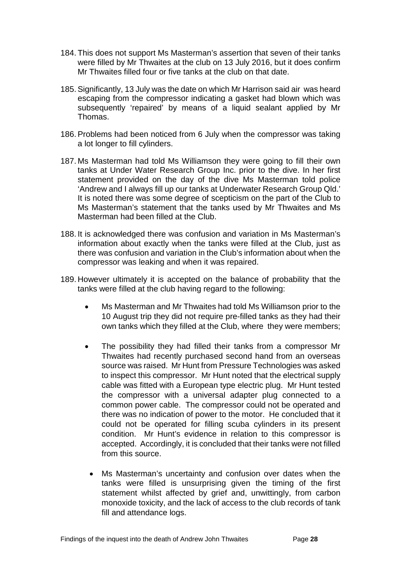- 184. This does not support Ms Masterman's assertion that seven of their tanks were filled by Mr Thwaites at the club on 13 July 2016, but it does confirm Mr Thwaites filled four or five tanks at the club on that date.
- 185. Significantly, 13 July was the date on which Mr Harrison said air was heard escaping from the compressor indicating a gasket had blown which was subsequently 'repaired' by means of a liquid sealant applied by Mr Thomas.
- 186. Problems had been noticed from 6 July when the compressor was taking a lot longer to fill cylinders.
- 187. Ms Masterman had told Ms Williamson they were going to fill their own tanks at Under Water Research Group Inc. prior to the dive. In her first statement provided on the day of the dive Ms Masterman told police 'Andrew and I always fill up our tanks at Underwater Research Group Qld.' It is noted there was some degree of scepticism on the part of the Club to Ms Masterman's statement that the tanks used by Mr Thwaites and Ms Masterman had been filled at the Club.
- 188. It is acknowledged there was confusion and variation in Ms Masterman's information about exactly when the tanks were filled at the Club, just as there was confusion and variation in the Club's information about when the compressor was leaking and when it was repaired.
- 189. However ultimately it is accepted on the balance of probability that the tanks were filled at the club having regard to the following:
	- Ms Masterman and Mr Thwaites had told Ms Williamson prior to the 10 August trip they did not require pre-filled tanks as they had their own tanks which they filled at the Club, where they were members;
	- The possibility they had filled their tanks from a compressor Mr Thwaites had recently purchased second hand from an overseas source was raised. Mr Hunt from Pressure Technologies was asked to inspect this compressor. Mr Hunt noted that the electrical supply cable was fitted with a European type electric plug. Mr Hunt tested the compressor with a universal adapter plug connected to a common power cable. The compressor could not be operated and there was no indication of power to the motor. He concluded that it could not be operated for filling scuba cylinders in its present condition. Mr Hunt's evidence in relation to this compressor is accepted. Accordingly, it is concluded that their tanks were not filled from this source.
		- Ms Masterman's uncertainty and confusion over dates when the tanks were filled is unsurprising given the timing of the first statement whilst affected by grief and, unwittingly, from carbon monoxide toxicity, and the lack of access to the club records of tank fill and attendance logs.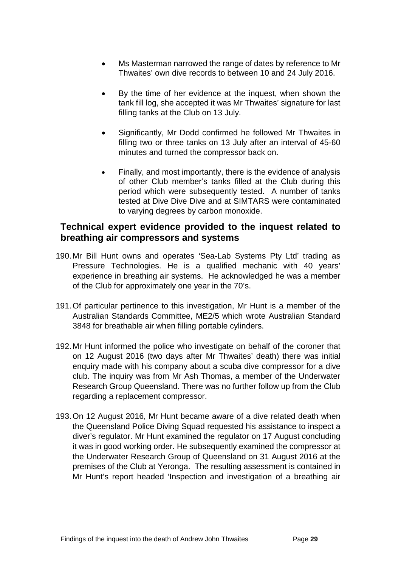- Ms Masterman narrowed the range of dates by reference to Mr Thwaites' own dive records to between 10 and 24 July 2016.
- By the time of her evidence at the inquest, when shown the tank fill log, she accepted it was Mr Thwaites' signature for last filling tanks at the Club on 13 July.
- Significantly, Mr Dodd confirmed he followed Mr Thwaites in filling two or three tanks on 13 July after an interval of 45-60 minutes and turned the compressor back on.
- Finally, and most importantly, there is the evidence of analysis of other Club member's tanks filled at the Club during this period which were subsequently tested. A number of tanks tested at Dive Dive Dive and at SIMTARS were contaminated to varying degrees by carbon monoxide.

#### <span id="page-31-0"></span>**Technical expert evidence provided to the inquest related to breathing air compressors and systems**

- 190.Mr Bill Hunt owns and operates 'Sea-Lab Systems Pty Ltd' trading as Pressure Technologies. He is a qualified mechanic with 40 years' experience in breathing air systems. He acknowledged he was a member of the Club for approximately one year in the 70's.
- 191.Of particular pertinence to this investigation, Mr Hunt is a member of the Australian Standards Committee, ME2/5 which wrote Australian Standard 3848 for breathable air when filling portable cylinders.
- 192.Mr Hunt informed the police who investigate on behalf of the coroner that on 12 August 2016 (two days after Mr Thwaites' death) there was initial enquiry made with his company about a scuba dive compressor for a dive club. The inquiry was from Mr Ash Thomas, a member of the Underwater Research Group Queensland. There was no further follow up from the Club regarding a replacement compressor.
- 193.On 12 August 2016, Mr Hunt became aware of a dive related death when the Queensland Police Diving Squad requested his assistance to inspect a diver's regulator. Mr Hunt examined the regulator on 17 August concluding it was in good working order. He subsequently examined the compressor at the Underwater Research Group of Queensland on 31 August 2016 at the premises of the Club at Yeronga. The resulting assessment is contained in Mr Hunt's report headed 'Inspection and investigation of a breathing air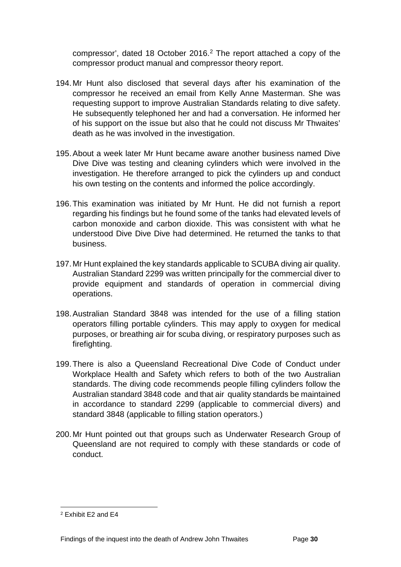compressor', dated 18 October 2016.[2](#page-32-0) The report attached a copy of the compressor product manual and compressor theory report.

- 194.Mr Hunt also disclosed that several days after his examination of the compressor he received an email from Kelly Anne Masterman. She was requesting support to improve Australian Standards relating to dive safety. He subsequently telephoned her and had a conversation. He informed her of his support on the issue but also that he could not discuss Mr Thwaites' death as he was involved in the investigation.
- 195.About a week later Mr Hunt became aware another business named Dive Dive Dive was testing and cleaning cylinders which were involved in the investigation. He therefore arranged to pick the cylinders up and conduct his own testing on the contents and informed the police accordingly.
- 196.This examination was initiated by Mr Hunt. He did not furnish a report regarding his findings but he found some of the tanks had elevated levels of carbon monoxide and carbon dioxide. This was consistent with what he understood Dive Dive Dive had determined. He returned the tanks to that business.
- 197.Mr Hunt explained the key standards applicable to SCUBA diving air quality. Australian Standard 2299 was written principally for the commercial diver to provide equipment and standards of operation in commercial diving operations.
- 198.Australian Standard 3848 was intended for the use of a filling station operators filling portable cylinders. This may apply to oxygen for medical purposes, or breathing air for scuba diving, or respiratory purposes such as firefighting.
- 199.There is also a Queensland Recreational Dive Code of Conduct under Workplace Health and Safety which refers to both of the two Australian standards. The diving code recommends people filling cylinders follow the Australian standard 3848 code and that air quality standards be maintained in accordance to standard 2299 (applicable to commercial divers) and standard 3848 (applicable to filling station operators.)
- 200.Mr Hunt pointed out that groups such as Underwater Research Group of Queensland are not required to comply with these standards or code of conduct.

<span id="page-32-0"></span><sup>2</sup> Exhibit E2 and E4  $\overline{a}$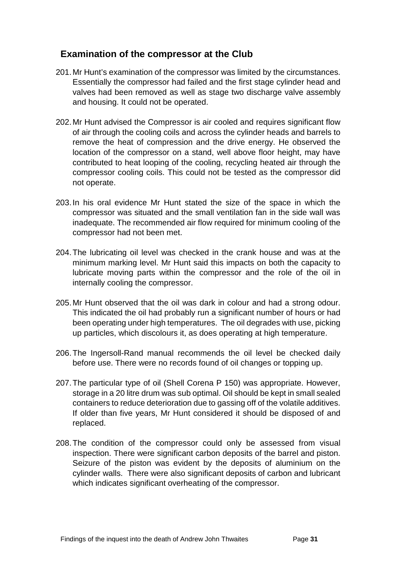## <span id="page-33-0"></span>**Examination of the compressor at the Club**

- 201.Mr Hunt's examination of the compressor was limited by the circumstances. Essentially the compressor had failed and the first stage cylinder head and valves had been removed as well as stage two discharge valve assembly and housing. It could not be operated.
- 202.Mr Hunt advised the Compressor is air cooled and requires significant flow of air through the cooling coils and across the cylinder heads and barrels to remove the heat of compression and the drive energy. He observed the location of the compressor on a stand, well above floor height, may have contributed to heat looping of the cooling, recycling heated air through the compressor cooling coils. This could not be tested as the compressor did not operate.
- 203.In his oral evidence Mr Hunt stated the size of the space in which the compressor was situated and the small ventilation fan in the side wall was inadequate. The recommended air flow required for minimum cooling of the compressor had not been met.
- 204.The lubricating oil level was checked in the crank house and was at the minimum marking level. Mr Hunt said this impacts on both the capacity to lubricate moving parts within the compressor and the role of the oil in internally cooling the compressor.
- 205.Mr Hunt observed that the oil was dark in colour and had a strong odour. This indicated the oil had probably run a significant number of hours or had been operating under high temperatures. The oil degrades with use, picking up particles, which discolours it, as does operating at high temperature.
- 206.The Ingersoll-Rand manual recommends the oil level be checked daily before use. There were no records found of oil changes or topping up.
- 207.The particular type of oil (Shell Corena P 150) was appropriate. However, storage in a 20 litre drum was sub optimal. Oil should be kept in small sealed containers to reduce deterioration due to gassing off of the volatile additives. If older than five years, Mr Hunt considered it should be disposed of and replaced.
- 208.The condition of the compressor could only be assessed from visual inspection. There were significant carbon deposits of the barrel and piston. Seizure of the piston was evident by the deposits of aluminium on the cylinder walls. There were also significant deposits of carbon and lubricant which indicates significant overheating of the compressor.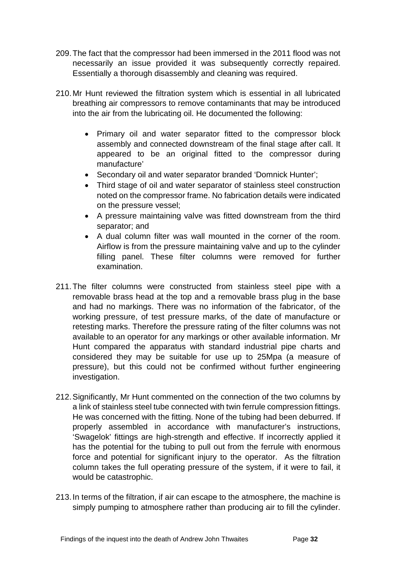- 209.The fact that the compressor had been immersed in the 2011 flood was not necessarily an issue provided it was subsequently correctly repaired. Essentially a thorough disassembly and cleaning was required.
- 210.Mr Hunt reviewed the filtration system which is essential in all lubricated breathing air compressors to remove contaminants that may be introduced into the air from the lubricating oil. He documented the following:
	- Primary oil and water separator fitted to the compressor block assembly and connected downstream of the final stage after call. It appeared to be an original fitted to the compressor during manufacture'
	- Secondary oil and water separator branded 'Domnick Hunter';
	- Third stage of oil and water separator of stainless steel construction noted on the compressor frame. No fabrication details were indicated on the pressure vessel;
	- A pressure maintaining valve was fitted downstream from the third separator; and
	- A dual column filter was wall mounted in the corner of the room. Airflow is from the pressure maintaining valve and up to the cylinder filling panel. These filter columns were removed for further examination.
- 211.The filter columns were constructed from stainless steel pipe with a removable brass head at the top and a removable brass plug in the base and had no markings. There was no information of the fabricator, of the working pressure, of test pressure marks, of the date of manufacture or retesting marks. Therefore the pressure rating of the filter columns was not available to an operator for any markings or other available information. Mr Hunt compared the apparatus with standard industrial pipe charts and considered they may be suitable for use up to 25Mpa (a measure of pressure), but this could not be confirmed without further engineering investigation.
- 212.Significantly, Mr Hunt commented on the connection of the two columns by a link of stainless steel tube connected with twin ferrule compression fittings. He was concerned with the fitting. None of the tubing had been deburred. If properly assembled in accordance with manufacturer's instructions, 'Swagelok' fittings are high-strength and effective. If incorrectly applied it has the potential for the tubing to pull out from the ferrule with enormous force and potential for significant injury to the operator. As the filtration column takes the full operating pressure of the system, if it were to fail, it would be catastrophic.
- 213.In terms of the filtration, if air can escape to the atmosphere, the machine is simply pumping to atmosphere rather than producing air to fill the cylinder.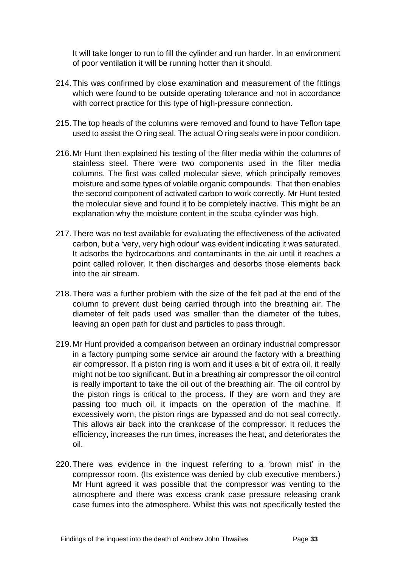It will take longer to run to fill the cylinder and run harder. In an environment of poor ventilation it will be running hotter than it should.

- 214.This was confirmed by close examination and measurement of the fittings which were found to be outside operating tolerance and not in accordance with correct practice for this type of high-pressure connection.
- 215.The top heads of the columns were removed and found to have Teflon tape used to assist the O ring seal. The actual O ring seals were in poor condition.
- 216.Mr Hunt then explained his testing of the filter media within the columns of stainless steel. There were two components used in the filter media columns. The first was called molecular sieve, which principally removes moisture and some types of volatile organic compounds. That then enables the second component of activated carbon to work correctly. Mr Hunt tested the molecular sieve and found it to be completely inactive. This might be an explanation why the moisture content in the scuba cylinder was high.
- 217.There was no test available for evaluating the effectiveness of the activated carbon, but a 'very, very high odour' was evident indicating it was saturated. It adsorbs the hydrocarbons and contaminants in the air until it reaches a point called rollover. It then discharges and desorbs those elements back into the air stream.
- 218.There was a further problem with the size of the felt pad at the end of the column to prevent dust being carried through into the breathing air. The diameter of felt pads used was smaller than the diameter of the tubes, leaving an open path for dust and particles to pass through.
- 219.Mr Hunt provided a comparison between an ordinary industrial compressor in a factory pumping some service air around the factory with a breathing air compressor. If a piston ring is worn and it uses a bit of extra oil, it really might not be too significant. But in a breathing air compressor the oil control is really important to take the oil out of the breathing air. The oil control by the piston rings is critical to the process. If they are worn and they are passing too much oil, it impacts on the operation of the machine. If excessively worn, the piston rings are bypassed and do not seal correctly. This allows air back into the crankcase of the compressor. It reduces the efficiency, increases the run times, increases the heat, and deteriorates the oil.
- 220.There was evidence in the inquest referring to a 'brown mist' in the compressor room. (Its existence was denied by club executive members.) Mr Hunt agreed it was possible that the compressor was venting to the atmosphere and there was excess crank case pressure releasing crank case fumes into the atmosphere. Whilst this was not specifically tested the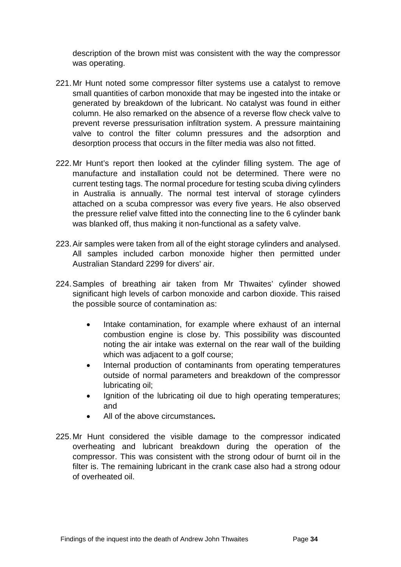description of the brown mist was consistent with the way the compressor was operating.

- 221.Mr Hunt noted some compressor filter systems use a catalyst to remove small quantities of carbon monoxide that may be ingested into the intake or generated by breakdown of the lubricant. No catalyst was found in either column. He also remarked on the absence of a reverse flow check valve to prevent reverse pressurisation infiltration system. A pressure maintaining valve to control the filter column pressures and the adsorption and desorption process that occurs in the filter media was also not fitted.
- 222.Mr Hunt's report then looked at the cylinder filling system. The age of manufacture and installation could not be determined. There were no current testing tags. The normal procedure for testing scuba diving cylinders in Australia is annually. The normal test interval of storage cylinders attached on a scuba compressor was every five years. He also observed the pressure relief valve fitted into the connecting line to the 6 cylinder bank was blanked off, thus making it non-functional as a safety valve.
- 223.Air samples were taken from all of the eight storage cylinders and analysed. All samples included carbon monoxide higher then permitted under Australian Standard 2299 for divers' air.
- 224.Samples of breathing air taken from Mr Thwaites' cylinder showed significant high levels of carbon monoxide and carbon dioxide. This raised the possible source of contamination as:
	- Intake contamination, for example where exhaust of an internal combustion engine is close by. This possibility was discounted noting the air intake was external on the rear wall of the building which was adjacent to a golf course;
	- Internal production of contaminants from operating temperatures outside of normal parameters and breakdown of the compressor lubricating oil;
	- Ignition of the lubricating oil due to high operating temperatures: and
	- All of the above circumstances**.**
- 225.Mr Hunt considered the visible damage to the compressor indicated overheating and lubricant breakdown during the operation of the compressor. This was consistent with the strong odour of burnt oil in the filter is. The remaining lubricant in the crank case also had a strong odour of overheated oil.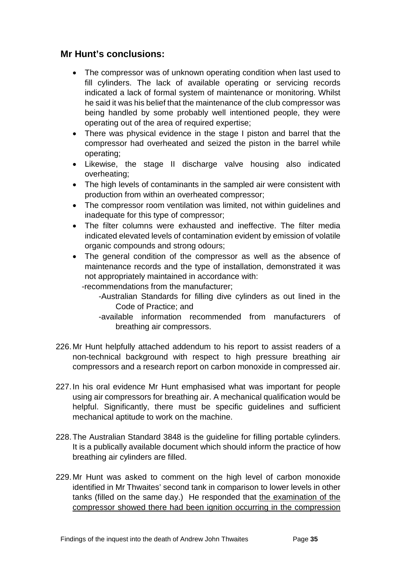## <span id="page-37-0"></span>**Mr Hunt's conclusions:**

- The compressor was of unknown operating condition when last used to fill cylinders. The lack of available operating or servicing records indicated a lack of formal system of maintenance or monitoring. Whilst he said it was his belief that the maintenance of the club compressor was being handled by some probably well intentioned people, they were operating out of the area of required expertise;
- There was physical evidence in the stage I piston and barrel that the compressor had overheated and seized the piston in the barrel while operating;
- Likewise, the stage II discharge valve housing also indicated overheating;
- The high levels of contaminants in the sampled air were consistent with production from within an overheated compressor;
- The compressor room ventilation was limited, not within guidelines and inadequate for this type of compressor;
- The filter columns were exhausted and ineffective. The filter media indicated elevated levels of contamination evident by emission of volatile organic compounds and strong odours;
- The general condition of the compressor as well as the absence of maintenance records and the type of installation, demonstrated it was not appropriately maintained in accordance with:

-recommendations from the manufacturer;

- -Australian Standards for filling dive cylinders as out lined in the Code of Practice; and
- -available information recommended from manufacturers of breathing air compressors.
- 226.Mr Hunt helpfully attached addendum to his report to assist readers of a non-technical background with respect to high pressure breathing air compressors and a research report on carbon monoxide in compressed air.
- 227.In his oral evidence Mr Hunt emphasised what was important for people using air compressors for breathing air. A mechanical qualification would be helpful. Significantly, there must be specific guidelines and sufficient mechanical aptitude to work on the machine.
- 228.The Australian Standard 3848 is the guideline for filling portable cylinders. It is a publically available document which should inform the practice of how breathing air cylinders are filled.
- 229.Mr Hunt was asked to comment on the high level of carbon monoxide identified in Mr Thwaites' second tank in comparison to lower levels in other tanks (filled on the same day.) He responded that the examination of the compressor showed there had been ignition occurring in the compression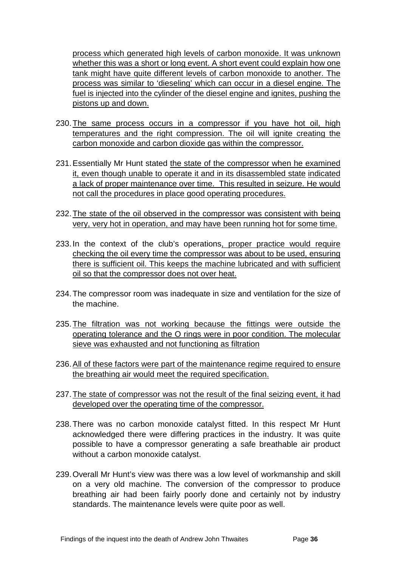process which generated high levels of carbon monoxide. It was unknown whether this was a short or long event. A short event could explain how one tank might have quite different levels of carbon monoxide to another. The process was similar to 'dieseling' which can occur in a diesel engine. The fuel is injected into the cylinder of the diesel engine and ignites, pushing the pistons up and down.

- 230.The same process occurs in a compressor if you have hot oil, high temperatures and the right compression. The oil will ignite creating the carbon monoxide and carbon dioxide gas within the compressor.
- 231.Essentially Mr Hunt stated the state of the compressor when he examined it, even though unable to operate it and in its disassembled state indicated a lack of proper maintenance over time. This resulted in seizure. He would not call the procedures in place good operating procedures.
- 232.The state of the oil observed in the compressor was consistent with being very, very hot in operation, and may have been running hot for some time.
- 233.In the context of the club's operations, proper practice would require checking the oil every time the compressor was about to be used, ensuring there is sufficient oil. This keeps the machine lubricated and with sufficient oil so that the compressor does not over heat.
- 234.The compressor room was inadequate in size and ventilation for the size of the machine.
- 235.The filtration was not working because the fittings were outside the operating tolerance and the O rings were in poor condition. The molecular sieve was exhausted and not functioning as filtration
- 236.All of these factors were part of the maintenance regime required to ensure the breathing air would meet the required specification.
- 237.The state of compressor was not the result of the final seizing event, it had developed over the operating time of the compressor.
- 238.There was no carbon monoxide catalyst fitted. In this respect Mr Hunt acknowledged there were differing practices in the industry. It was quite possible to have a compressor generating a safe breathable air product without a carbon monoxide catalyst.
- 239.Overall Mr Hunt's view was there was a low level of workmanship and skill on a very old machine. The conversion of the compressor to produce breathing air had been fairly poorly done and certainly not by industry standards. The maintenance levels were quite poor as well.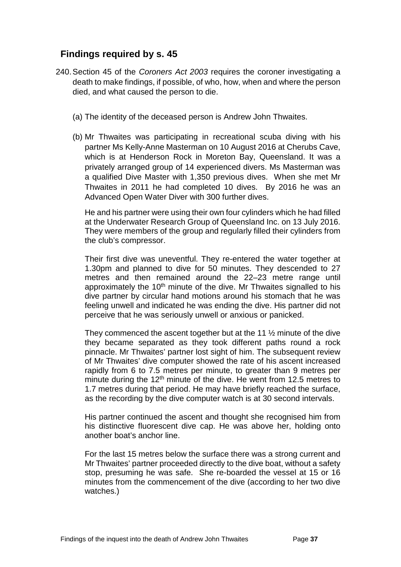## <span id="page-39-0"></span>**Findings required by s. 45**

- 240.Section 45 of the *Coroners Act 2003* requires the coroner investigating a death to make findings, if possible, of who, how, when and where the person died, and what caused the person to die.
	- (a) The identity of the deceased person is Andrew John Thwaites.
	- (b) Mr Thwaites was participating in recreational scuba diving with his partner Ms Kelly-Anne Masterman on 10 August 2016 at Cherubs Cave, which is at Henderson Rock in Moreton Bay, Queensland. It was a privately arranged group of 14 experienced divers. Ms Masterman was a qualified Dive Master with 1,350 previous dives. When she met Mr Thwaites in 2011 he had completed 10 dives. By 2016 he was an Advanced Open Water Diver with 300 further dives.

He and his partner were using their own four cylinders which he had filled at the Underwater Research Group of Queensland Inc. on 13 July 2016. They were members of the group and regularly filled their cylinders from the club's compressor.

Their first dive was uneventful. They re-entered the water together at 1.30pm and planned to dive for 50 minutes. They descended to 27 metres and then remained around the 22–23 metre range until approximately the 10<sup>th</sup> minute of the dive. Mr Thwaites signalled to his dive partner by circular hand motions around his stomach that he was feeling unwell and indicated he was ending the dive. His partner did not perceive that he was seriously unwell or anxious or panicked.

They commenced the ascent together but at the 11  $\frac{1}{2}$  minute of the dive they became separated as they took different paths round a rock pinnacle. Mr Thwaites' partner lost sight of him. The subsequent review of Mr Thwaites' dive computer showed the rate of his ascent increased rapidly from 6 to 7.5 metres per minute, to greater than 9 metres per minute during the 12<sup>th</sup> minute of the dive. He went from 12.5 metres to 1.7 metres during that period. He may have briefly reached the surface, as the recording by the dive computer watch is at 30 second intervals.

His partner continued the ascent and thought she recognised him from his distinctive fluorescent dive cap. He was above her, holding onto another boat's anchor line.

For the last 15 metres below the surface there was a strong current and Mr Thwaites' partner proceeded directly to the dive boat, without a safety stop, presuming he was safe. She re-boarded the vessel at 15 or 16 minutes from the commencement of the dive (according to her two dive watches.)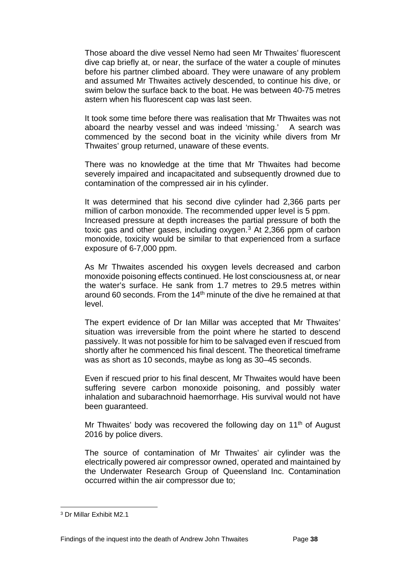Those aboard the dive vessel Nemo had seen Mr Thwaites' fluorescent dive cap briefly at, or near, the surface of the water a couple of minutes before his partner climbed aboard. They were unaware of any problem and assumed Mr Thwaites actively descended, to continue his dive, or swim below the surface back to the boat. He was between 40-75 metres astern when his fluorescent cap was last seen.

It took some time before there was realisation that Mr Thwaites was not aboard the nearby vessel and was indeed 'missing.' A search was commenced by the second boat in the vicinity while divers from Mr Thwaites' group returned, unaware of these events.

There was no knowledge at the time that Mr Thwaites had become severely impaired and incapacitated and subsequently drowned due to contamination of the compressed air in his cylinder.

It was determined that his second dive cylinder had 2,366 parts per million of carbon monoxide. The recommended upper level is 5 ppm. Increased pressure at depth increases the partial pressure of both the toxic gas and other gases, including oxygen.<sup>[3](#page-40-0)</sup> At 2,366 ppm of carbon monoxide, toxicity would be similar to that experienced from a surface exposure of 6-7,000 ppm.

As Mr Thwaites ascended his oxygen levels decreased and carbon monoxide poisoning effects continued. He lost consciousness at, or near the water's surface. He sank from 1.7 metres to 29.5 metres within around 60 seconds. From the  $14<sup>th</sup>$  minute of the dive he remained at that level.

The expert evidence of Dr Ian Millar was accepted that Mr Thwaites' situation was irreversible from the point where he started to descend passively. It was not possible for him to be salvaged even if rescued from shortly after he commenced his final descent. The theoretical timeframe was as short as 10 seconds, maybe as long as 30–45 seconds.

Even if rescued prior to his final descent, Mr Thwaites would have been suffering severe carbon monoxide poisoning, and possibly water inhalation and subarachnoid haemorrhage. His survival would not have been guaranteed.

Mr Thwaites' body was recovered the following day on 11<sup>th</sup> of August 2016 by police divers.

The source of contamination of Mr Thwaites' air cylinder was the electrically powered air compressor owned, operated and maintained by the Underwater Research Group of Queensland Inc. Contamination occurred within the air compressor due to;

 $\overline{a}$ 

<span id="page-40-0"></span><sup>3</sup> Dr Millar Exhibit M2.1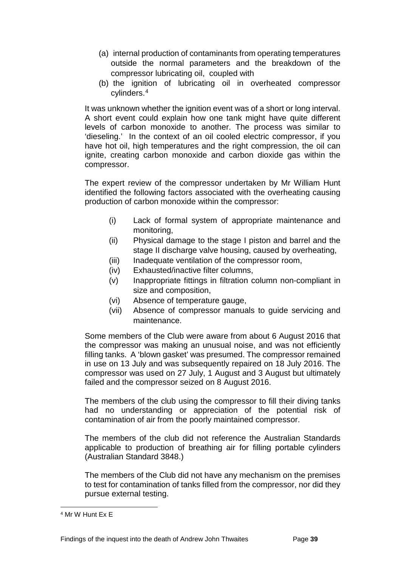- (a) internal production of contaminants from operating temperatures outside the normal parameters and the breakdown of the compressor lubricating oil, coupled with
- (b) the ignition of lubricating oil in overheated compressor cylinders.[4](#page-41-0)

It was unknown whether the ignition event was of a short or long interval. A short event could explain how one tank might have quite different levels of carbon monoxide to another. The process was similar to 'dieseling.' In the context of an oil cooled electric compressor, if you have hot oil, high temperatures and the right compression, the oil can ignite, creating carbon monoxide and carbon dioxide gas within the compressor.

The expert review of the compressor undertaken by Mr William Hunt identified the following factors associated with the overheating causing production of carbon monoxide within the compressor:

- (i) Lack of formal system of appropriate maintenance and monitoring,
- (ii) Physical damage to the stage I piston and barrel and the stage II discharge valve housing, caused by overheating,
- (iii) Inadequate ventilation of the compressor room,
- (iv) Exhausted/inactive filter columns,
- (v) Inappropriate fittings in filtration column non-compliant in size and composition,
- (vi) Absence of temperature gauge,
- (vii) Absence of compressor manuals to guide servicing and maintenance.

Some members of the Club were aware from about 6 August 2016 that the compressor was making an unusual noise, and was not efficiently filling tanks. A 'blown gasket' was presumed. The compressor remained in use on 13 July and was subsequently repaired on 18 July 2016. The compressor was used on 27 July, 1 August and 3 August but ultimately failed and the compressor seized on 8 August 2016.

The members of the club using the compressor to fill their diving tanks had no understanding or appreciation of the potential risk of contamination of air from the poorly maintained compressor.

The members of the club did not reference the Australian Standards applicable to production of breathing air for filling portable cylinders (Australian Standard 3848.)

The members of the Club did not have any mechanism on the premises to test for contamination of tanks filled from the compressor, nor did they pursue external testing.

<span id="page-41-0"></span><sup>4</sup> Mr W Hunt Ex E  $\overline{a}$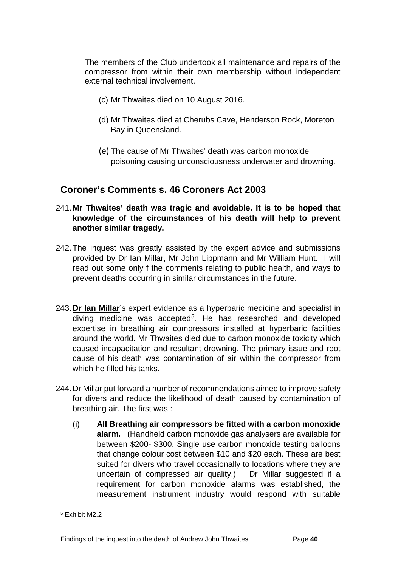The members of the Club undertook all maintenance and repairs of the compressor from within their own membership without independent external technical involvement.

- (c) Mr Thwaites died on 10 August 2016.
- (d) Mr Thwaites died at Cherubs Cave, Henderson Rock, Moreton Bay in Queensland.
- (e) The cause of Mr Thwaites' death was carbon monoxide poisoning causing unconsciousness underwater and drowning.

## <span id="page-42-0"></span>**Coroner's Comments s. 46 Coroners Act 2003**

- 241.**Mr Thwaites' death was tragic and avoidable. It is to be hoped that knowledge of the circumstances of his death will help to prevent another similar tragedy.**
- 242.The inquest was greatly assisted by the expert advice and submissions provided by Dr Ian Millar, Mr John Lippmann and Mr William Hunt. I will read out some only f the comments relating to public health, and ways to prevent deaths occurring in similar circumstances in the future.
- 243.**Dr Ian Millar**'s expert evidence as a hyperbaric medicine and specialist in diving medicine was accepted<sup>5</sup>. He has researched and developed expertise in breathing air compressors installed at hyperbaric facilities around the world. Mr Thwaites died due to carbon monoxide toxicity which caused incapacitation and resultant drowning. The primary issue and root cause of his death was contamination of air within the compressor from which he filled his tanks.
- 244.Dr Millar put forward a number of recommendations aimed to improve safety for divers and reduce the likelihood of death caused by contamination of breathing air. The first was :
	- (i) **All Breathing air compressors be fitted with a carbon monoxide alarm.** (Handheld carbon monoxide gas analysers are available for between \$200- \$300. Single use carbon monoxide testing balloons that change colour cost between \$10 and \$20 each. These are best suited for divers who travel occasionally to locations where they are uncertain of compressed air quality.) Dr Millar suggested if a requirement for carbon monoxide alarms was established, the measurement instrument industry would respond with suitable

<span id="page-42-1"></span><sup>5</sup> Exhibit M2.2  $\overline{a}$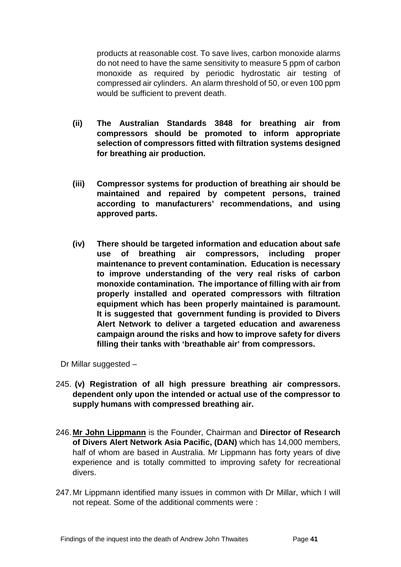products at reasonable cost. To save lives, carbon monoxide alarms do not need to have the same sensitivity to measure 5 ppm of carbon monoxide as required by periodic hydrostatic air testing of compressed air cylinders. An alarm threshold of 50, or even 100 ppm would be sufficient to prevent death.

- **(ii) The Australian Standards 3848 for breathing air from compressors should be promoted to inform appropriate selection of compressors fitted with filtration systems designed for breathing air production.**
- **(iii) Compressor systems for production of breathing air should be maintained and repaired by competent persons, trained according to manufacturers' recommendations, and using approved parts.**
- **(iv) There should be targeted information and education about safe use of breathing air compressors, including proper maintenance to prevent contamination. Education is necessary to improve understanding of the very real risks of carbon monoxide contamination. The importance of filling with air from properly installed and operated compressors with filtration equipment which has been properly maintained is paramount. It is suggested that government funding is provided to Divers Alert Network to deliver a targeted education and awareness campaign around the risks and how to improve safety for divers filling their tanks with 'breathable air' from compressors.**

Dr Millar suggested –

- 245. **(v) Registration of all high pressure breathing air compressors. dependent only upon the intended or actual use of the compressor to supply humans with compressed breathing air.**
- 246.**Mr John Lippmann** is the Founder, Chairman and **Director of Research of Divers Alert Network Asia Pacific, (DAN)** which has 14,000 members, half of whom are based in Australia. Mr Lippmann has forty years of dive experience and is totally committed to improving safety for recreational divers.
- 247.Mr Lippmann identified many issues in common with Dr Millar, which I will not repeat. Some of the additional comments were :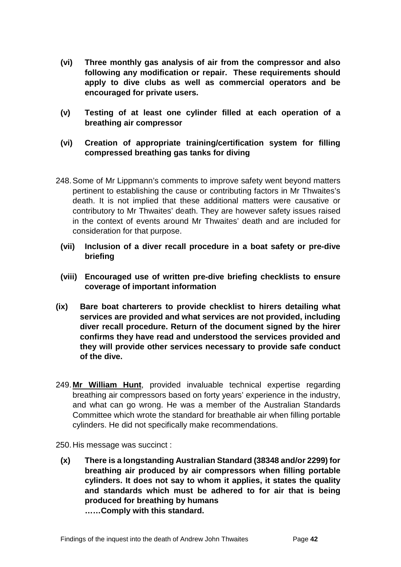- **(vi) Three monthly gas analysis of air from the compressor and also following any modification or repair. These requirements should apply to dive clubs as well as commercial operators and be encouraged for private users.**
- **(v) Testing of at least one cylinder filled at each operation of a breathing air compressor**
- **(vi) Creation of appropriate training/certification system for filling compressed breathing gas tanks for diving**
- 248.Some of Mr Lippmann's comments to improve safety went beyond matters pertinent to establishing the cause or contributing factors in Mr Thwaites's death. It is not implied that these additional matters were causative or contributory to Mr Thwaites' death. They are however safety issues raised in the context of events around Mr Thwaites' death and are included for consideration for that purpose.
	- **(vii) Inclusion of a diver recall procedure in a boat safety or pre-dive briefing**
	- **(viii) Encouraged use of written pre-dive briefing checklists to ensure coverage of important information**
- **(ix) Bare boat charterers to provide checklist to hirers detailing what services are provided and what services are not provided, including diver recall procedure. Return of the document signed by the hirer confirms they have read and understood the services provided and they will provide other services necessary to provide safe conduct of the dive.**
- 249.**Mr William Hunt**, provided invaluable technical expertise regarding breathing air compressors based on forty years' experience in the industry, and what can go wrong. He was a member of the Australian Standards Committee which wrote the standard for breathable air when filling portable cylinders. He did not specifically make recommendations.

250.His message was succinct :

**(x) There is a longstanding Australian Standard (38348 and/or 2299) for breathing air produced by air compressors when filling portable cylinders. It does not say to whom it applies, it states the quality and standards which must be adhered to for air that is being produced for breathing by humans ……Comply with this standard.**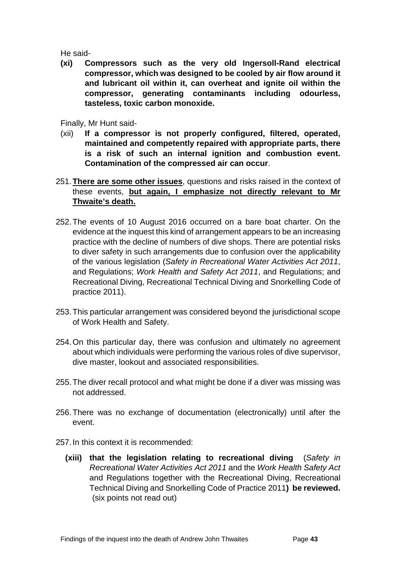He said-

**(xi) Compressors such as the very old Ingersoll-Rand electrical compressor, which was designed to be cooled by air flow around it and lubricant oil within it, can overheat and ignite oil within the compressor, generating contaminants including odourless, tasteless, toxic carbon monoxide.**

Finally, Mr Hunt said-

- (xii) **If a compressor is not properly configured, filtered, operated, maintained and competently repaired with appropriate parts, there is a risk of such an internal ignition and combustion event. Contamination of the compressed air can occur**.
- 251.**There are some other issues**, questions and risks raised in the context of these events, **but again, I emphasize not directly relevant to Mr Thwaite's death.**
- 252.The events of 10 August 2016 occurred on a bare boat charter. On the evidence at the inquest this kind of arrangement appears to be an increasing practice with the decline of numbers of dive shops. There are potential risks to diver safety in such arrangements due to confusion over the applicability of the various legislation (*Safety in Recreational Water Activities Act 2011*, and Regulations; *Work Health and Safety Act 2011*, and Regulations; and Recreational Diving, Recreational Technical Diving and Snorkelling Code of practice 2011).
- 253.This particular arrangement was considered beyond the jurisdictional scope of Work Health and Safety.
- 254.On this particular day, there was confusion and ultimately no agreement about which individuals were performing the various roles of dive supervisor, dive master, lookout and associated responsibilities.
- 255.The diver recall protocol and what might be done if a diver was missing was not addressed.
- 256.There was no exchange of documentation (electronically) until after the event.
- 257.In this context it is recommended:
	- **(xiii) that the legislation relating to recreational diving** (*Safety in Recreational Water Activities Act 2011* and the *Work Health Safety Act*  and Regulations together with the Recreational Diving, Recreational Technical Diving and Snorkelling Code of Practice 2011**) be reviewed.** (six points not read out)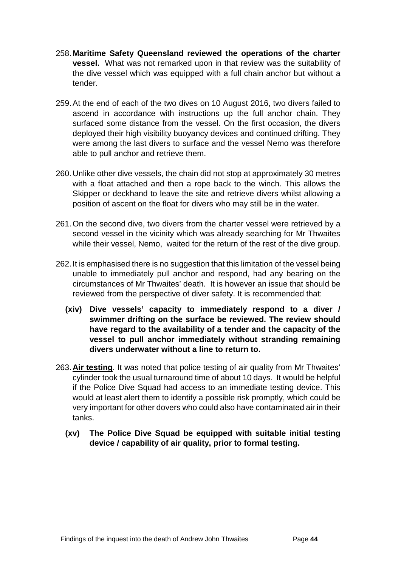- 258.**Maritime Safety Queensland reviewed the operations of the charter vessel.** What was not remarked upon in that review was the suitability of the dive vessel which was equipped with a full chain anchor but without a tender.
- 259.At the end of each of the two dives on 10 August 2016, two divers failed to ascend in accordance with instructions up the full anchor chain. They surfaced some distance from the vessel. On the first occasion, the divers deployed their high visibility buoyancy devices and continued drifting. They were among the last divers to surface and the vessel Nemo was therefore able to pull anchor and retrieve them.
- 260.Unlike other dive vessels, the chain did not stop at approximately 30 metres with a float attached and then a rope back to the winch. This allows the Skipper or deckhand to leave the site and retrieve divers whilst allowing a position of ascent on the float for divers who may still be in the water.
- 261.On the second dive, two divers from the charter vessel were retrieved by a second vessel in the vicinity which was already searching for Mr Thwaites while their vessel, Nemo, waited for the return of the rest of the dive group.
- 262.It is emphasised there is no suggestion that this limitation of the vessel being unable to immediately pull anchor and respond, had any bearing on the circumstances of Mr Thwaites' death. It is however an issue that should be reviewed from the perspective of diver safety. It is recommended that:
	- **(xiv) Dive vessels' capacity to immediately respond to a diver / swimmer drifting on the surface be reviewed. The review should have regard to the availability of a tender and the capacity of the vessel to pull anchor immediately without stranding remaining divers underwater without a line to return to.**
- 263.**Air testing**. It was noted that police testing of air quality from Mr Thwaites' cylinder took the usual turnaround time of about 10 days. It would be helpful if the Police Dive Squad had access to an immediate testing device. This would at least alert them to identify a possible risk promptly, which could be very important for other dovers who could also have contaminated air in their tanks.
	- **(xv) The Police Dive Squad be equipped with suitable initial testing device / capability of air quality, prior to formal testing.**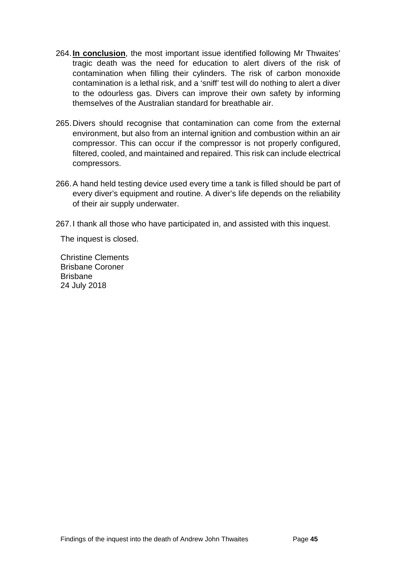- 264.**In conclusion**, the most important issue identified following Mr Thwaites' tragic death was the need for education to alert divers of the risk of contamination when filling their cylinders. The risk of carbon monoxide contamination is a lethal risk, and a 'sniff' test will do nothing to alert a diver to the odourless gas. Divers can improve their own safety by informing themselves of the Australian standard for breathable air.
- 265.Divers should recognise that contamination can come from the external environment, but also from an internal ignition and combustion within an air compressor. This can occur if the compressor is not properly configured, filtered, cooled, and maintained and repaired. This risk can include electrical compressors.
- 266.A hand held testing device used every time a tank is filled should be part of every diver's equipment and routine. A diver's life depends on the reliability of their air supply underwater.
- 267.I thank all those who have participated in, and assisted with this inquest.

The inquest is closed.

Christine Clements Brisbane Coroner Brisbane 24 July 2018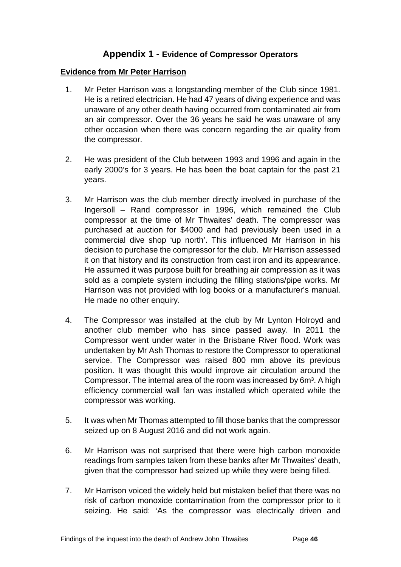#### **Appendix 1 - Evidence of Compressor Operators**

#### <span id="page-48-1"></span><span id="page-48-0"></span>**Evidence from Mr Peter Harrison**

- 1. Mr Peter Harrison was a longstanding member of the Club since 1981. He is a retired electrician. He had 47 years of diving experience and was unaware of any other death having occurred from contaminated air from an air compressor. Over the 36 years he said he was unaware of any other occasion when there was concern regarding the air quality from the compressor.
- 2. He was president of the Club between 1993 and 1996 and again in the early 2000's for 3 years. He has been the boat captain for the past 21 years.
- 3. Mr Harrison was the club member directly involved in purchase of the Ingersoll – Rand compressor in 1996, which remained the Club compressor at the time of Mr Thwaites' death. The compressor was purchased at auction for \$4000 and had previously been used in a commercial dive shop 'up north'. This influenced Mr Harrison in his decision to purchase the compressor for the club. Mr Harrison assessed it on that history and its construction from cast iron and its appearance. He assumed it was purpose built for breathing air compression as it was sold as a complete system including the filling stations/pipe works. Mr Harrison was not provided with log books or a manufacturer's manual. He made no other enquiry.
- 4. The Compressor was installed at the club by Mr Lynton Holroyd and another club member who has since passed away. In 2011 the Compressor went under water in the Brisbane River flood. Work was undertaken by Mr Ash Thomas to restore the Compressor to operational service. The Compressor was raised 800 mm above its previous position. It was thought this would improve air circulation around the Compressor. The internal area of the room was increased by 6m<sup>3</sup>. A high efficiency commercial wall fan was installed which operated while the compressor was working.
- 5. It was when Mr Thomas attempted to fill those banks that the compressor seized up on 8 August 2016 and did not work again.
- 6. Mr Harrison was not surprised that there were high carbon monoxide readings from samples taken from these banks after Mr Thwaites' death, given that the compressor had seized up while they were being filled.
- 7. Mr Harrison voiced the widely held but mistaken belief that there was no risk of carbon monoxide contamination from the compressor prior to it seizing. He said: 'As the compressor was electrically driven and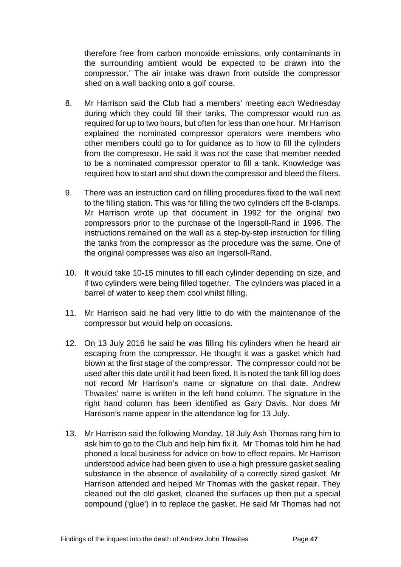therefore free from carbon monoxide emissions, only contaminants in the surrounding ambient would be expected to be drawn into the compressor.' The air intake was drawn from outside the compressor shed on a wall backing onto a golf course.

- 8. Mr Harrison said the Club had a members' meeting each Wednesday during which they could fill their tanks. The compressor would run as required for up to two hours, but often for less than one hour. Mr Harrison explained the nominated compressor operators were members who other members could go to for guidance as to how to fill the cylinders from the compressor. He said it was not the case that member needed to be a nominated compressor operator to fill a tank. Knowledge was required how to start and shut down the compressor and bleed the filters.
- 9. There was an instruction card on filling procedures fixed to the wall next to the filling station. This was for filling the two cylinders off the 8-clamps. Mr Harrison wrote up that document in 1992 for the original two compressors prior to the purchase of the Ingersoll-Rand in 1996. The instructions remained on the wall as a step-by-step instruction for filling the tanks from the compressor as the procedure was the same. One of the original compresses was also an Ingersoll-Rand.
- 10. It would take 10-15 minutes to fill each cylinder depending on size, and if two cylinders were being filled together. The cylinders was placed in a barrel of water to keep them cool whilst filling.
- 11. Mr Harrison said he had very little to do with the maintenance of the compressor but would help on occasions.
- 12. On 13 July 2016 he said he was filling his cylinders when he heard air escaping from the compressor. He thought it was a gasket which had blown at the first stage of the compressor. The compressor could not be used after this date until it had been fixed. It is noted the tank fill log does not record Mr Harrison's name or signature on that date. Andrew Thwaites' name is written in the left hand column. The signature in the right hand column has been identified as Gary Davis. Nor does Mr Harrison's name appear in the attendance log for 13 July.
- 13. Mr Harrison said the following Monday, 18 July Ash Thomas rang him to ask him to go to the Club and help him fix it. Mr Thomas told him he had phoned a local business for advice on how to effect repairs. Mr Harrison understood advice had been given to use a high pressure gasket sealing substance in the absence of availability of a correctly sized gasket. Mr Harrison attended and helped Mr Thomas with the gasket repair. They cleaned out the old gasket, cleaned the surfaces up then put a special compound ('glue') in to replace the gasket. He said Mr Thomas had not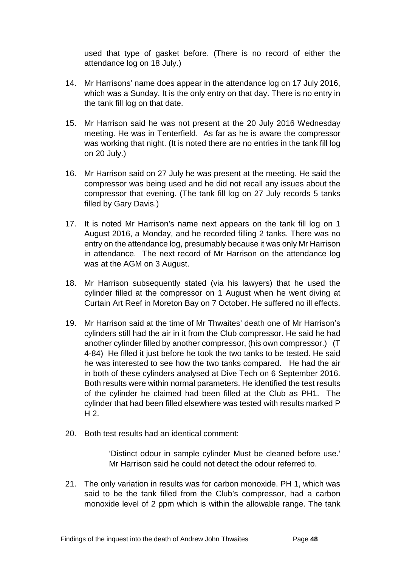used that type of gasket before. (There is no record of either the attendance log on 18 July.)

- 14. Mr Harrisons' name does appear in the attendance log on 17 July 2016, which was a Sunday. It is the only entry on that day. There is no entry in the tank fill log on that date.
- 15. Mr Harrison said he was not present at the 20 July 2016 Wednesday meeting. He was in Tenterfield. As far as he is aware the compressor was working that night. (It is noted there are no entries in the tank fill log on 20 July.)
- 16. Mr Harrison said on 27 July he was present at the meeting. He said the compressor was being used and he did not recall any issues about the compressor that evening. (The tank fill log on 27 July records 5 tanks filled by Gary Davis.)
- 17. It is noted Mr Harrison's name next appears on the tank fill log on 1 August 2016, a Monday, and he recorded filling 2 tanks. There was no entry on the attendance log, presumably because it was only Mr Harrison in attendance. The next record of Mr Harrison on the attendance log was at the AGM on 3 August.
- 18. Mr Harrison subsequently stated (via his lawyers) that he used the cylinder filled at the compressor on 1 August when he went diving at Curtain Art Reef in Moreton Bay on 7 October. He suffered no ill effects.
- 19. Mr Harrison said at the time of Mr Thwaites' death one of Mr Harrison's cylinders still had the air in it from the Club compressor. He said he had another cylinder filled by another compressor, (his own compressor.) (T 4-84) He filled it just before he took the two tanks to be tested. He said he was interested to see how the two tanks compared. He had the air in both of these cylinders analysed at Dive Tech on 6 September 2016. Both results were within normal parameters. He identified the test results of the cylinder he claimed had been filled at the Club as PH1. The cylinder that had been filled elsewhere was tested with results marked P H 2.
- 20. Both test results had an identical comment:

'Distinct odour in sample cylinder Must be cleaned before use.' Mr Harrison said he could not detect the odour referred to.

21. The only variation in results was for carbon monoxide. PH 1, which was said to be the tank filled from the Club's compressor, had a carbon monoxide level of 2 ppm which is within the allowable range. The tank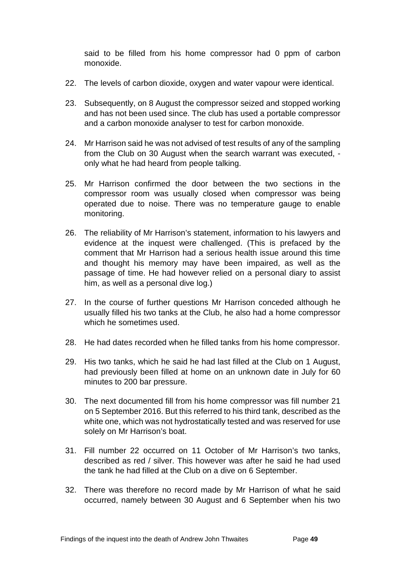said to be filled from his home compressor had 0 ppm of carbon monoxide.

- 22. The levels of carbon dioxide, oxygen and water vapour were identical.
- 23. Subsequently, on 8 August the compressor seized and stopped working and has not been used since. The club has used a portable compressor and a carbon monoxide analyser to test for carbon monoxide.
- 24. Mr Harrison said he was not advised of test results of any of the sampling from the Club on 30 August when the search warrant was executed, only what he had heard from people talking.
- 25. Mr Harrison confirmed the door between the two sections in the compressor room was usually closed when compressor was being operated due to noise. There was no temperature gauge to enable monitoring.
- 26. The reliability of Mr Harrison's statement, information to his lawyers and evidence at the inquest were challenged. (This is prefaced by the comment that Mr Harrison had a serious health issue around this time and thought his memory may have been impaired, as well as the passage of time. He had however relied on a personal diary to assist him, as well as a personal dive log.)
- 27. In the course of further questions Mr Harrison conceded although he usually filled his two tanks at the Club, he also had a home compressor which he sometimes used.
- 28. He had dates recorded when he filled tanks from his home compressor.
- 29. His two tanks, which he said he had last filled at the Club on 1 August, had previously been filled at home on an unknown date in July for 60 minutes to 200 bar pressure.
- 30. The next documented fill from his home compressor was fill number 21 on 5 September 2016. But this referred to his third tank, described as the white one, which was not hydrostatically tested and was reserved for use solely on Mr Harrison's boat.
- 31. Fill number 22 occurred on 11 October of Mr Harrison's two tanks, described as red / silver. This however was after he said he had used the tank he had filled at the Club on a dive on 6 September.
- 32. There was therefore no record made by Mr Harrison of what he said occurred, namely between 30 August and 6 September when his two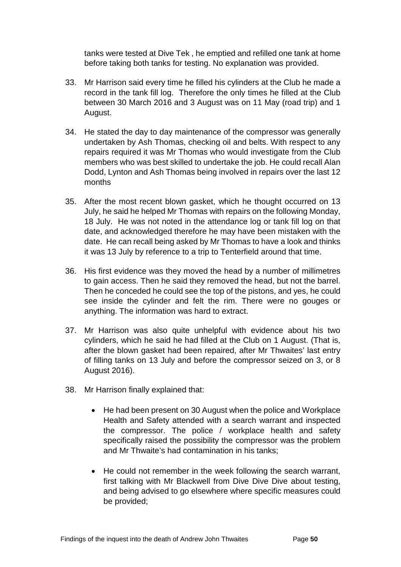tanks were tested at Dive Tek , he emptied and refilled one tank at home before taking both tanks for testing. No explanation was provided.

- 33. Mr Harrison said every time he filled his cylinders at the Club he made a record in the tank fill log. Therefore the only times he filled at the Club between 30 March 2016 and 3 August was on 11 May (road trip) and 1 August.
- 34. He stated the day to day maintenance of the compressor was generally undertaken by Ash Thomas, checking oil and belts. With respect to any repairs required it was Mr Thomas who would investigate from the Club members who was best skilled to undertake the job. He could recall Alan Dodd, Lynton and Ash Thomas being involved in repairs over the last 12 months
- 35. After the most recent blown gasket, which he thought occurred on 13 July, he said he helped Mr Thomas with repairs on the following Monday, 18 July. He was not noted in the attendance log or tank fill log on that date, and acknowledged therefore he may have been mistaken with the date. He can recall being asked by Mr Thomas to have a look and thinks it was 13 July by reference to a trip to Tenterfield around that time.
- 36. His first evidence was they moved the head by a number of millimetres to gain access. Then he said they removed the head, but not the barrel. Then he conceded he could see the top of the pistons, and yes, he could see inside the cylinder and felt the rim. There were no gouges or anything. The information was hard to extract.
- 37. Mr Harrison was also quite unhelpful with evidence about his two cylinders, which he said he had filled at the Club on 1 August. (That is, after the blown gasket had been repaired, after Mr Thwaites' last entry of filling tanks on 13 July and before the compressor seized on 3, or 8 August 2016).
- 38. Mr Harrison finally explained that:
	- He had been present on 30 August when the police and Workplace Health and Safety attended with a search warrant and inspected the compressor. The police / workplace health and safety specifically raised the possibility the compressor was the problem and Mr Thwaite's had contamination in his tanks;
	- He could not remember in the week following the search warrant, first talking with Mr Blackwell from Dive Dive Dive about testing, and being advised to go elsewhere where specific measures could be provided;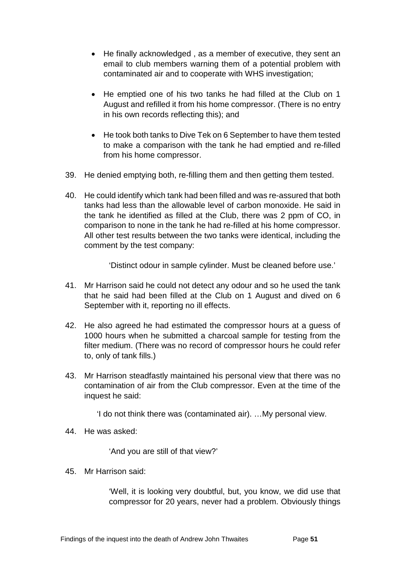- He finally acknowledged , as a member of executive, they sent an email to club members warning them of a potential problem with contaminated air and to cooperate with WHS investigation;
- He emptied one of his two tanks he had filled at the Club on 1 August and refilled it from his home compressor. (There is no entry in his own records reflecting this); and
- He took both tanks to Dive Tek on 6 September to have them tested to make a comparison with the tank he had emptied and re-filled from his home compressor.
- 39. He denied emptying both, re-filling them and then getting them tested.
- 40. He could identify which tank had been filled and was re-assured that both tanks had less than the allowable level of carbon monoxide. He said in the tank he identified as filled at the Club, there was 2 ppm of CO, in comparison to none in the tank he had re-filled at his home compressor. All other test results between the two tanks were identical, including the comment by the test company:

'Distinct odour in sample cylinder. Must be cleaned before use.'

- 41. Mr Harrison said he could not detect any odour and so he used the tank that he said had been filled at the Club on 1 August and dived on 6 September with it, reporting no ill effects.
- 42. He also agreed he had estimated the compressor hours at a guess of 1000 hours when he submitted a charcoal sample for testing from the filter medium. (There was no record of compressor hours he could refer to, only of tank fills.)
- 43. Mr Harrison steadfastly maintained his personal view that there was no contamination of air from the Club compressor. Even at the time of the inquest he said:

'I do not think there was (contaminated air). …My personal view.

44. He was asked:

'And you are still of that view?'

45. Mr Harrison said:

'Well, it is looking very doubtful, but, you know, we did use that compressor for 20 years, never had a problem. Obviously things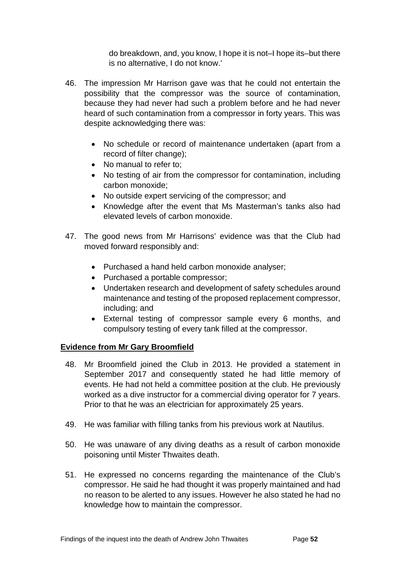do breakdown, and, you know, I hope it is not–I hope its–but there is no alternative, I do not know.'

- 46. The impression Mr Harrison gave was that he could not entertain the possibility that the compressor was the source of contamination, because they had never had such a problem before and he had never heard of such contamination from a compressor in forty years. This was despite acknowledging there was:
	- No schedule or record of maintenance undertaken (apart from a record of filter change);
	- No manual to refer to:
	- No testing of air from the compressor for contamination, including carbon monoxide;
	- No outside expert servicing of the compressor; and
	- Knowledge after the event that Ms Masterman's tanks also had elevated levels of carbon monoxide.
- 47. The good news from Mr Harrisons' evidence was that the Club had moved forward responsibly and:
	- Purchased a hand held carbon monoxide analyser;
	- Purchased a portable compressor;
	- Undertaken research and development of safety schedules around maintenance and testing of the proposed replacement compressor, including; and
	- External testing of compressor sample every 6 months, and compulsory testing of every tank filled at the compressor.

#### <span id="page-54-0"></span>**Evidence from Mr Gary Broomfield**

- 48. Mr Broomfield joined the Club in 2013. He provided a statement in September 2017 and consequently stated he had little memory of events. He had not held a committee position at the club. He previously worked as a dive instructor for a commercial diving operator for 7 years. Prior to that he was an electrician for approximately 25 years.
- 49. He was familiar with filling tanks from his previous work at Nautilus.
- 50. He was unaware of any diving deaths as a result of carbon monoxide poisoning until Mister Thwaites death.
- 51. He expressed no concerns regarding the maintenance of the Club's compressor. He said he had thought it was properly maintained and had no reason to be alerted to any issues. However he also stated he had no knowledge how to maintain the compressor.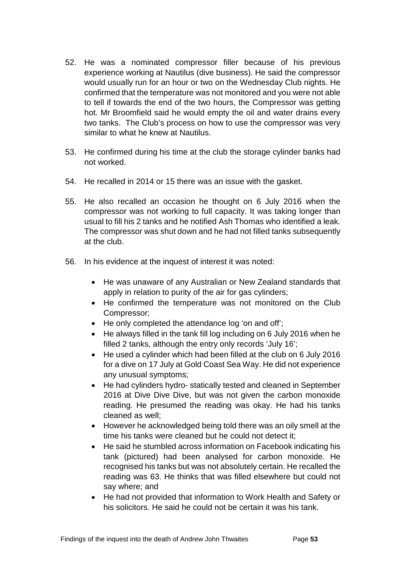- 52. He was a nominated compressor filler because of his previous experience working at Nautilus (dive business). He said the compressor would usually run for an hour or two on the Wednesday Club nights. He confirmed that the temperature was not monitored and you were not able to tell if towards the end of the two hours, the Compressor was getting hot. Mr Broomfield said he would empty the oil and water drains every two tanks. The Club's process on how to use the compressor was very similar to what he knew at Nautilus.
- 53. He confirmed during his time at the club the storage cylinder banks had not worked.
- 54. He recalled in 2014 or 15 there was an issue with the gasket.
- 55. He also recalled an occasion he thought on 6 July 2016 when the compressor was not working to full capacity. It was taking longer than usual to fill his 2 tanks and he notified Ash Thomas who identified a leak. The compressor was shut down and he had not filled tanks subsequently at the club.
- 56. In his evidence at the inquest of interest it was noted:
	- He was unaware of any Australian or New Zealand standards that apply in relation to purity of the air for gas cylinders:
	- He confirmed the temperature was not monitored on the Club Compressor;
	- He only completed the attendance log 'on and off';
	- He always filled in the tank fill log including on 6 July 2016 when he filled 2 tanks, although the entry only records 'July 16';
	- He used a cylinder which had been filled at the club on 6 July 2016 for a dive on 17 July at Gold Coast Sea Way. He did not experience any unusual symptoms;
	- He had cylinders hydro- statically tested and cleaned in September 2016 at Dive Dive Dive, but was not given the carbon monoxide reading. He presumed the reading was okay. He had his tanks cleaned as well;
	- However he acknowledged being told there was an oily smell at the time his tanks were cleaned but he could not detect it;
	- He said he stumbled across information on Facebook indicating his tank (pictured) had been analysed for carbon monoxide. He recognised his tanks but was not absolutely certain. He recalled the reading was 63. He thinks that was filled elsewhere but could not say where; and
	- He had not provided that information to Work Health and Safety or his solicitors. He said he could not be certain it was his tank.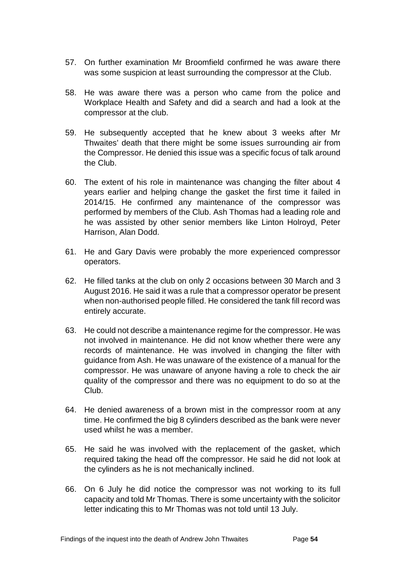- 57. On further examination Mr Broomfield confirmed he was aware there was some suspicion at least surrounding the compressor at the Club.
- 58. He was aware there was a person who came from the police and Workplace Health and Safety and did a search and had a look at the compressor at the club.
- 59. He subsequently accepted that he knew about 3 weeks after Mr Thwaites' death that there might be some issues surrounding air from the Compressor. He denied this issue was a specific focus of talk around the Club.
- 60. The extent of his role in maintenance was changing the filter about 4 years earlier and helping change the gasket the first time it failed in 2014/15. He confirmed any maintenance of the compressor was performed by members of the Club. Ash Thomas had a leading role and he was assisted by other senior members like Linton Holroyd, Peter Harrison, Alan Dodd.
- 61. He and Gary Davis were probably the more experienced compressor operators.
- 62. He filled tanks at the club on only 2 occasions between 30 March and 3 August 2016. He said it was a rule that a compressor operator be present when non-authorised people filled. He considered the tank fill record was entirely accurate.
- 63. He could not describe a maintenance regime for the compressor. He was not involved in maintenance. He did not know whether there were any records of maintenance. He was involved in changing the filter with guidance from Ash. He was unaware of the existence of a manual for the compressor. He was unaware of anyone having a role to check the air quality of the compressor and there was no equipment to do so at the Club.
- 64. He denied awareness of a brown mist in the compressor room at any time. He confirmed the big 8 cylinders described as the bank were never used whilst he was a member.
- 65. He said he was involved with the replacement of the gasket, which required taking the head off the compressor. He said he did not look at the cylinders as he is not mechanically inclined.
- 66. On 6 July he did notice the compressor was not working to its full capacity and told Mr Thomas. There is some uncertainty with the solicitor letter indicating this to Mr Thomas was not told until 13 July.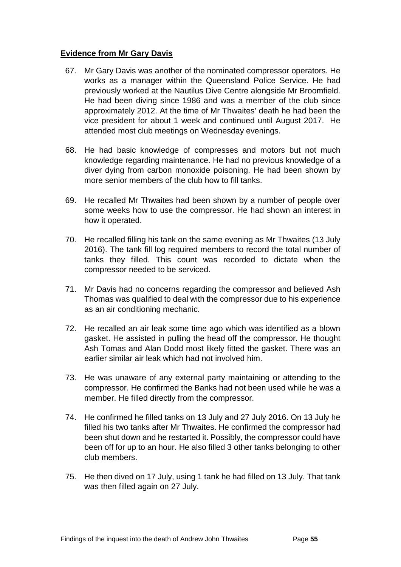#### <span id="page-57-0"></span>**Evidence from Mr Gary Davis**

- 67. Mr Gary Davis was another of the nominated compressor operators. He works as a manager within the Queensland Police Service. He had previously worked at the Nautilus Dive Centre alongside Mr Broomfield. He had been diving since 1986 and was a member of the club since approximately 2012. At the time of Mr Thwaites' death he had been the vice president for about 1 week and continued until August 2017. He attended most club meetings on Wednesday evenings.
- 68. He had basic knowledge of compresses and motors but not much knowledge regarding maintenance. He had no previous knowledge of a diver dying from carbon monoxide poisoning. He had been shown by more senior members of the club how to fill tanks.
- 69. He recalled Mr Thwaites had been shown by a number of people over some weeks how to use the compressor. He had shown an interest in how it operated.
- 70. He recalled filling his tank on the same evening as Mr Thwaites (13 July 2016). The tank fill log required members to record the total number of tanks they filled. This count was recorded to dictate when the compressor needed to be serviced.
- 71. Mr Davis had no concerns regarding the compressor and believed Ash Thomas was qualified to deal with the compressor due to his experience as an air conditioning mechanic.
- 72. He recalled an air leak some time ago which was identified as a blown gasket. He assisted in pulling the head off the compressor. He thought Ash Tomas and Alan Dodd most likely fitted the gasket. There was an earlier similar air leak which had not involved him.
- 73. He was unaware of any external party maintaining or attending to the compressor. He confirmed the Banks had not been used while he was a member. He filled directly from the compressor.
- 74. He confirmed he filled tanks on 13 July and 27 July 2016. On 13 July he filled his two tanks after Mr Thwaites. He confirmed the compressor had been shut down and he restarted it. Possibly, the compressor could have been off for up to an hour. He also filled 3 other tanks belonging to other club members.
- 75. He then dived on 17 July, using 1 tank he had filled on 13 July. That tank was then filled again on 27 July.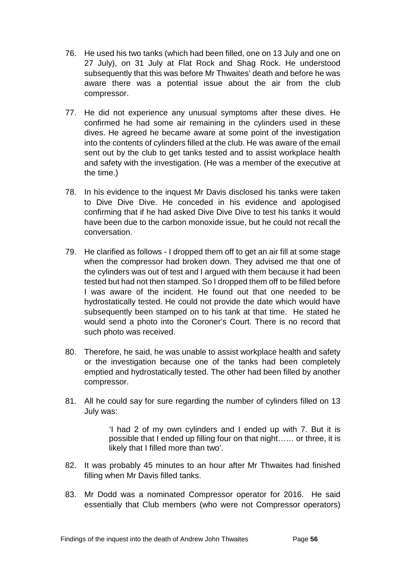- 76. He used his two tanks (which had been filled, one on 13 July and one on 27 July), on 31 July at Flat Rock and Shag Rock. He understood subsequently that this was before Mr Thwaites' death and before he was aware there was a potential issue about the air from the club compressor.
- 77. He did not experience any unusual symptoms after these dives. He confirmed he had some air remaining in the cylinders used in these dives. He agreed he became aware at some point of the investigation into the contents of cylinders filled at the club. He was aware of the email sent out by the club to get tanks tested and to assist workplace health and safety with the investigation. (He was a member of the executive at the time.)
- 78. In his evidence to the inquest Mr Davis disclosed his tanks were taken to Dive Dive Dive. He conceded in his evidence and apologised confirming that if he had asked Dive Dive Dive to test his tanks it would have been due to the carbon monoxide issue, but he could not recall the conversation.
- 79. He clarified as follows I dropped them off to get an air fill at some stage when the compressor had broken down. They advised me that one of the cylinders was out of test and I argued with them because it had been tested but had not then stamped. So I dropped them off to be filled before I was aware of the incident. He found out that one needed to be hydrostatically tested. He could not provide the date which would have subsequently been stamped on to his tank at that time. He stated he would send a photo into the Coroner's Court. There is no record that such photo was received.
- 80. Therefore, he said, he was unable to assist workplace health and safety or the investigation because one of the tanks had been completely emptied and hydrostatically tested. The other had been filled by another compressor.
- 81. All he could say for sure regarding the number of cylinders filled on 13 July was:

'I had 2 of my own cylinders and I ended up with 7. But it is possible that I ended up filling four on that night…… or three, it is likely that I filled more than two'.

- 82. It was probably 45 minutes to an hour after Mr Thwaites had finished filling when Mr Davis filled tanks.
- 83. Mr Dodd was a nominated Compressor operator for 2016. He said essentially that Club members (who were not Compressor operators)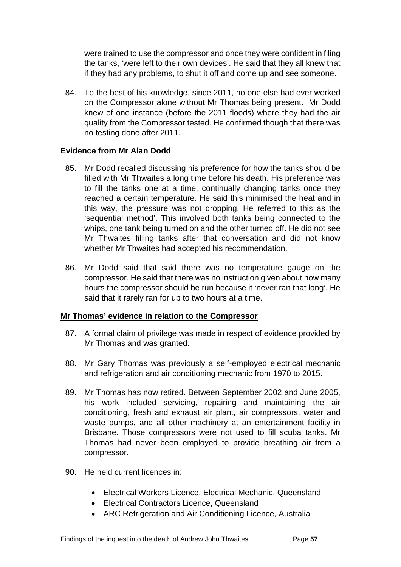were trained to use the compressor and once they were confident in filing the tanks, 'were left to their own devices'. He said that they all knew that if they had any problems, to shut it off and come up and see someone.

84. To the best of his knowledge, since 2011, no one else had ever worked on the Compressor alone without Mr Thomas being present. Mr Dodd knew of one instance (before the 2011 floods) where they had the air quality from the Compressor tested. He confirmed though that there was no testing done after 2011.

#### <span id="page-59-0"></span>**Evidence from Mr Alan Dodd**

- 85. Mr Dodd recalled discussing his preference for how the tanks should be filled with Mr Thwaites a long time before his death. His preference was to fill the tanks one at a time, continually changing tanks once they reached a certain temperature. He said this minimised the heat and in this way, the pressure was not dropping. He referred to this as the 'sequential method'. This involved both tanks being connected to the whips, one tank being turned on and the other turned off. He did not see Mr Thwaites filling tanks after that conversation and did not know whether Mr Thwaites had accepted his recommendation.
- 86. Mr Dodd said that said there was no temperature gauge on the compressor. He said that there was no instruction given about how many hours the compressor should be run because it 'never ran that long'. He said that it rarely ran for up to two hours at a time.

#### <span id="page-59-1"></span>**Mr Thomas' evidence in relation to the Compressor**

- 87. A formal claim of privilege was made in respect of evidence provided by Mr Thomas and was granted.
- 88. Mr Gary Thomas was previously a self-employed electrical mechanic and refrigeration and air conditioning mechanic from 1970 to 2015.
- 89. Mr Thomas has now retired. Between September 2002 and June 2005, his work included servicing, repairing and maintaining the air conditioning, fresh and exhaust air plant, air compressors, water and waste pumps, and all other machinery at an entertainment facility in Brisbane. Those compressors were not used to fill scuba tanks. Mr Thomas had never been employed to provide breathing air from a compressor.
- 90. He held current licences in:
	- Electrical Workers Licence, Electrical Mechanic, Queensland.
	- Electrical Contractors Licence, Queensland
	- ARC Refrigeration and Air Conditioning Licence, Australia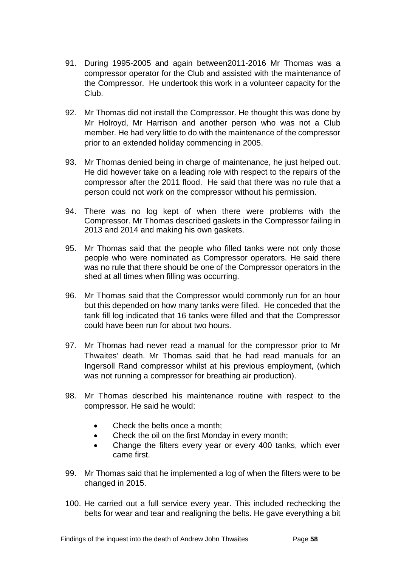- 91. During 1995-2005 and again between2011-2016 Mr Thomas was a compressor operator for the Club and assisted with the maintenance of the Compressor. He undertook this work in a volunteer capacity for the Club.
- 92. Mr Thomas did not install the Compressor. He thought this was done by Mr Holroyd, Mr Harrison and another person who was not a Club member. He had very little to do with the maintenance of the compressor prior to an extended holiday commencing in 2005.
- 93. Mr Thomas denied being in charge of maintenance, he just helped out. He did however take on a leading role with respect to the repairs of the compressor after the 2011 flood. He said that there was no rule that a person could not work on the compressor without his permission.
- 94. There was no log kept of when there were problems with the Compressor. Mr Thomas described gaskets in the Compressor failing in 2013 and 2014 and making his own gaskets.
- 95. Mr Thomas said that the people who filled tanks were not only those people who were nominated as Compressor operators. He said there was no rule that there should be one of the Compressor operators in the shed at all times when filling was occurring.
- 96. Mr Thomas said that the Compressor would commonly run for an hour but this depended on how many tanks were filled. He conceded that the tank fill log indicated that 16 tanks were filled and that the Compressor could have been run for about two hours.
- 97. Mr Thomas had never read a manual for the compressor prior to Mr Thwaites' death. Mr Thomas said that he had read manuals for an Ingersoll Rand compressor whilst at his previous employment, (which was not running a compressor for breathing air production).
- 98. Mr Thomas described his maintenance routine with respect to the compressor. He said he would:
	- Check the belts once a month:
	- Check the oil on the first Monday in every month;
	- Change the filters every year or every 400 tanks, which ever came first.
- 99. Mr Thomas said that he implemented a log of when the filters were to be changed in 2015.
- 100. He carried out a full service every year. This included rechecking the belts for wear and tear and realigning the belts. He gave everything a bit